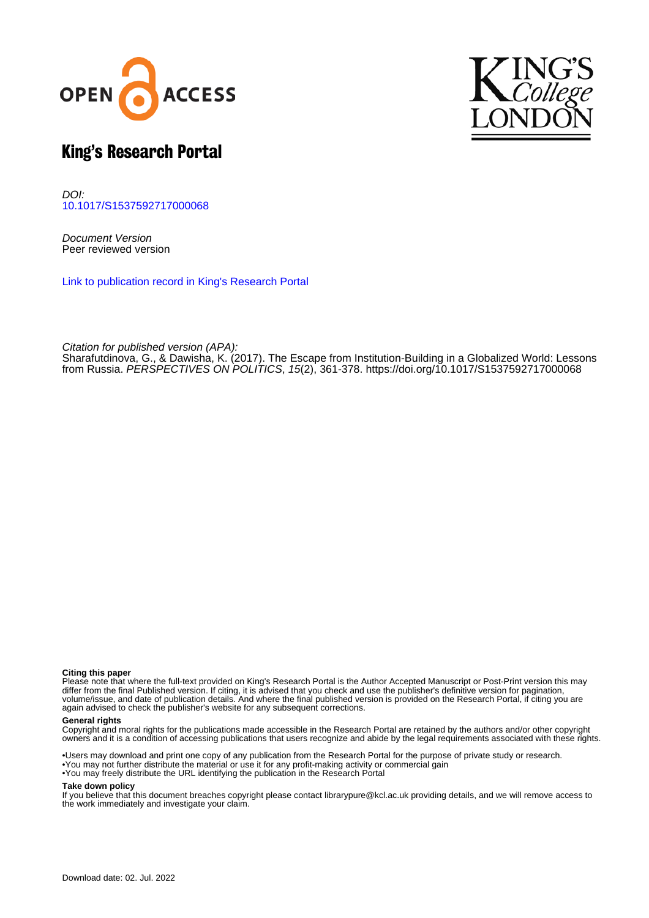



# King's Research Portal

DOI: [10.1017/S1537592717000068](https://doi.org/10.1017/S1537592717000068)

Document Version Peer reviewed version

[Link to publication record in King's Research Portal](https://kclpure.kcl.ac.uk/portal/en/publications/the-escape-from-institutionbuilding-in-a-globalized-world(ffb6c557-e8bf-4956-bb06-fa0ad36af3db).html)

Citation for published version (APA):

[Sharafutdinova, G.](/portal/gulnaz.sharafutdinova.html), & Dawisha, K. (2017). [The Escape from Institution-Building in a Globalized World: Lessons](https://kclpure.kcl.ac.uk/portal/en/publications/the-escape-from-institutionbuilding-in-a-globalized-world(ffb6c557-e8bf-4956-bb06-fa0ad36af3db).html) [from Russia](https://kclpure.kcl.ac.uk/portal/en/publications/the-escape-from-institutionbuilding-in-a-globalized-world(ffb6c557-e8bf-4956-bb06-fa0ad36af3db).html). [PERSPECTIVES ON POLITICS](https://kclpure.kcl.ac.uk/portal/en/journals/perspectives-on-politics(c33683b2-8335-4dd1-8501-e91cce2de962).html), 15(2), 361-378.<https://doi.org/10.1017/S1537592717000068>

#### **Citing this paper**

Please note that where the full-text provided on King's Research Portal is the Author Accepted Manuscript or Post-Print version this may differ from the final Published version. If citing, it is advised that you check and use the publisher's definitive version for pagination, volume/issue, and date of publication details. And where the final published version is provided on the Research Portal, if citing you are again advised to check the publisher's website for any subsequent corrections.

#### **General rights**

Copyright and moral rights for the publications made accessible in the Research Portal are retained by the authors and/or other copyright owners and it is a condition of accessing publications that users recognize and abide by the legal requirements associated with these rights.

•Users may download and print one copy of any publication from the Research Portal for the purpose of private study or research. •You may not further distribute the material or use it for any profit-making activity or commercial gain •You may freely distribute the URL identifying the publication in the Research Portal

#### **Take down policy**

If you believe that this document breaches copyright please contact librarypure@kcl.ac.uk providing details, and we will remove access to the work immediately and investigate your claim.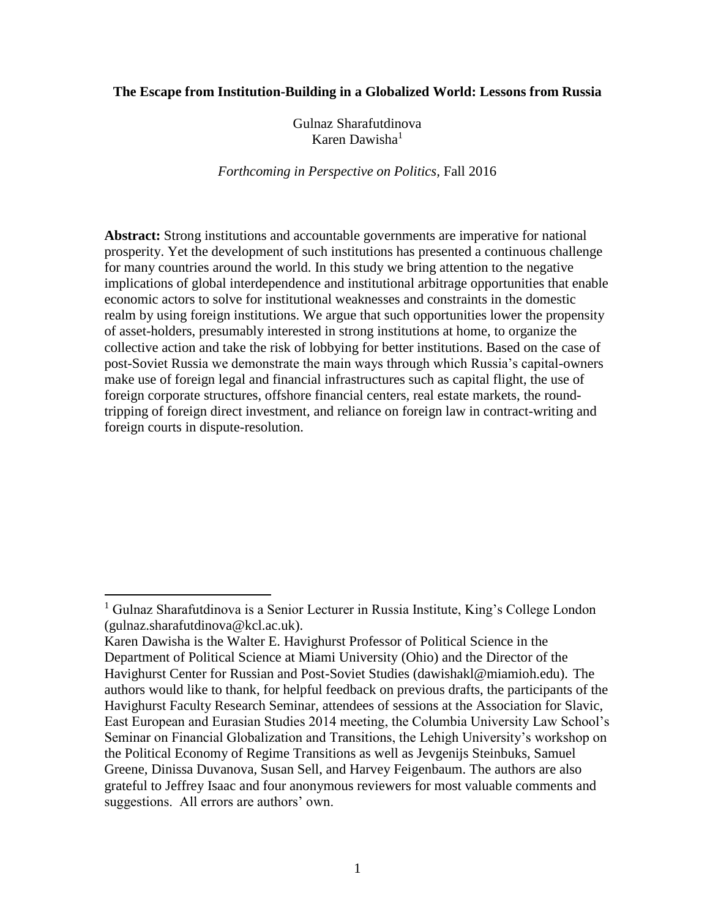### **The Escape from Institution-Building in a Globalized World: Lessons from Russia**

Gulnaz Sharafutdinova Karen Dawisha<sup>1</sup>

*Forthcoming in Perspective on Politics,* Fall 2016

**Abstract:** Strong institutions and accountable governments are imperative for national prosperity. Yet the development of such institutions has presented a continuous challenge for many countries around the world. In this study we bring attention to the negative implications of global interdependence and institutional arbitrage opportunities that enable economic actors to solve for institutional weaknesses and constraints in the domestic realm by using foreign institutions. We argue that such opportunities lower the propensity of asset-holders, presumably interested in strong institutions at home, to organize the collective action and take the risk of lobbying for better institutions. Based on the case of post-Soviet Russia we demonstrate the main ways through which Russia's capital-owners make use of foreign legal and financial infrastructures such as capital flight, the use of foreign corporate structures, offshore financial centers, real estate markets, the roundtripping of foreign direct investment, and reliance on foreign law in contract-writing and foreign courts in dispute-resolution.

 $\overline{a}$ 

<sup>&</sup>lt;sup>1</sup> Gulnaz Sharafutdinova is a Senior Lecturer in Russia Institute, King's College London (gulnaz.sharafutdinova@kcl.ac.uk).

Karen Dawisha is the Walter E. Havighurst Professor of Political Science in the Department of Political Science at Miami University (Ohio) and the Director of the Havighurst Center for Russian and Post-Soviet Studies (dawishakl@miamioh.edu). The authors would like to thank, for helpful feedback on previous drafts, the participants of the Havighurst Faculty Research Seminar, attendees of sessions at the Association for Slavic, East European and Eurasian Studies 2014 meeting, the Columbia University Law School's Seminar on Financial Globalization and Transitions, the Lehigh University's workshop on the Political Economy of Regime Transitions as well as Jevgenijs Steinbuks, Samuel Greene, Dinissa Duvanova, Susan Sell, and Harvey Feigenbaum. The authors are also grateful to Jeffrey Isaac and four anonymous reviewers for most valuable comments and suggestions. All errors are authors' own.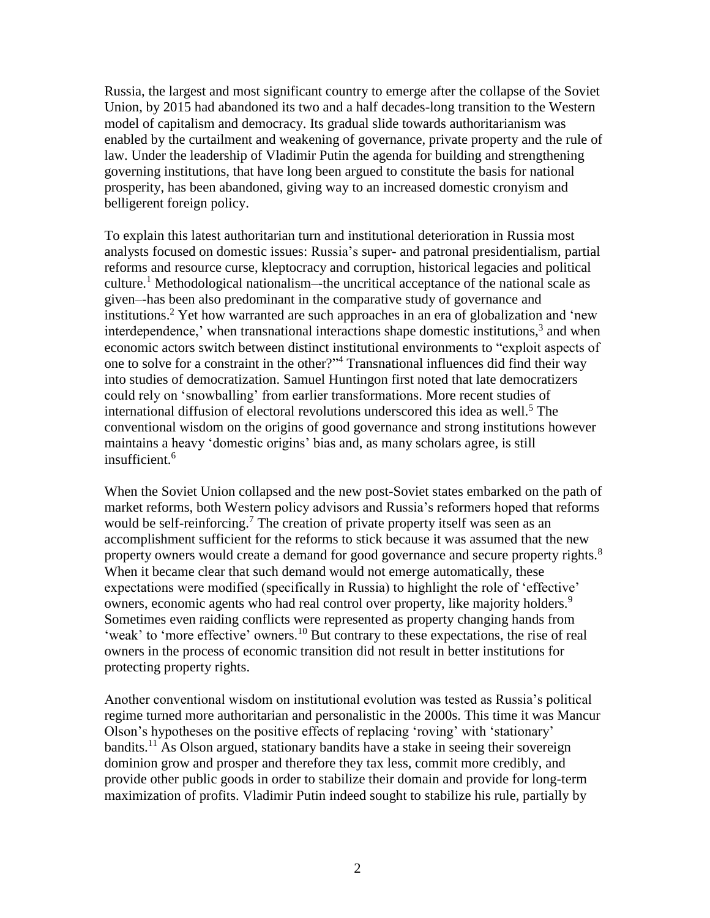Russia, the largest and most significant country to emerge after the collapse of the Soviet Union, by 2015 had abandoned its two and a half decades-long transition to the Western model of capitalism and democracy. Its gradual slide towards authoritarianism was enabled by the curtailment and weakening of governance, private property and the rule of law. Under the leadership of Vladimir Putin the agenda for building and strengthening governing institutions, that have long been argued to constitute the basis for national prosperity, has been abandoned, giving way to an increased domestic cronyism and belligerent foreign policy.

To explain this latest authoritarian turn and institutional deterioration in Russia most analysts focused on domestic issues: Russia's super- and patronal presidentialism, partial reforms and resource curse, kleptocracy and corruption, historical legacies and political culture. <sup>1</sup> Methodological nationalism–-the uncritical acceptance of the national scale as given–-has been also predominant in the comparative study of governance and institutions.<sup>2</sup> Yet how warranted are such approaches in an era of globalization and 'new interdependence,' when transnational interactions shape domestic institutions, 3 and when economic actors switch between distinct institutional environments to "exploit aspects of one to solve for a constraint in the other?"<sup>4</sup> Transnational influences did find their way into studies of democratization. Samuel Huntingon first noted that late democratizers could rely on 'snowballing' from earlier transformations. More recent studies of international diffusion of electoral revolutions underscored this idea as well.<sup>5</sup> The conventional wisdom on the origins of good governance and strong institutions however maintains a heavy 'domestic origins' bias and, as many scholars agree, is still insufficient.<sup>6</sup>

When the Soviet Union collapsed and the new post-Soviet states embarked on the path of market reforms, both Western policy advisors and Russia's reformers hoped that reforms would be self-reinforcing.<sup>7</sup> The creation of private property itself was seen as an accomplishment sufficient for the reforms to stick because it was assumed that the new property owners would create a demand for good governance and secure property rights.<sup>8</sup> When it became clear that such demand would not emerge automatically, these expectations were modified (specifically in Russia) to highlight the role of 'effective' owners, economic agents who had real control over property, like majority holders.<sup>9</sup> Sometimes even raiding conflicts were represented as property changing hands from 'weak' to 'more effective' owners.<sup>10</sup> But contrary to these expectations, the rise of real owners in the process of economic transition did not result in better institutions for protecting property rights.

Another conventional wisdom on institutional evolution was tested as Russia's political regime turned more authoritarian and personalistic in the 2000s. This time it was Mancur Olson's hypotheses on the positive effects of replacing 'roving' with 'stationary' bandits.<sup>11</sup> As Olson argued, stationary bandits have a stake in seeing their sovereign dominion grow and prosper and therefore they tax less, commit more credibly, and provide other public goods in order to stabilize their domain and provide for long-term maximization of profits. Vladimir Putin indeed sought to stabilize his rule, partially by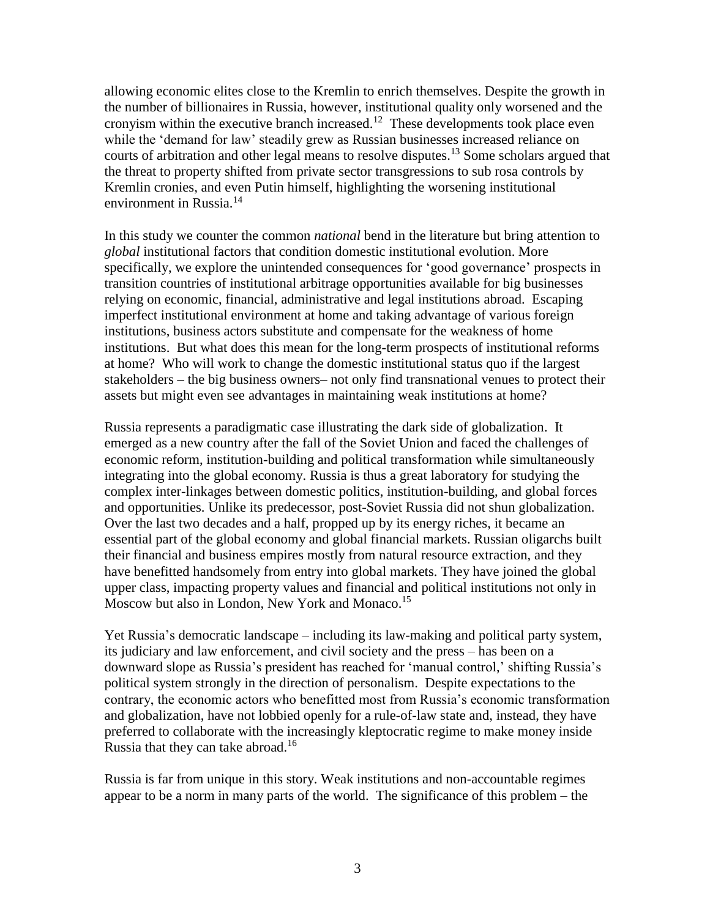allowing economic elites close to the Kremlin to enrich themselves. Despite the growth in the number of billionaires in Russia, however, institutional quality only worsened and the cronyism within the executive branch increased.<sup>12</sup> These developments took place even while the 'demand for law' steadily grew as Russian businesses increased reliance on courts of arbitration and other legal means to resolve disputes.<sup>13</sup> Some scholars argued that the threat to property shifted from private sector transgressions to sub rosa controls by Kremlin cronies, and even Putin himself, highlighting the worsening institutional environment in Russia.<sup>14</sup>

In this study we counter the common *national* bend in the literature but bring attention to *global* institutional factors that condition domestic institutional evolution. More specifically, we explore the unintended consequences for 'good governance' prospects in transition countries of institutional arbitrage opportunities available for big businesses relying on economic, financial, administrative and legal institutions abroad. Escaping imperfect institutional environment at home and taking advantage of various foreign institutions, business actors substitute and compensate for the weakness of home institutions. But what does this mean for the long-term prospects of institutional reforms at home? Who will work to change the domestic institutional status quo if the largest stakeholders – the big business owners– not only find transnational venues to protect their assets but might even see advantages in maintaining weak institutions at home?

Russia represents a paradigmatic case illustrating the dark side of globalization. It emerged as a new country after the fall of the Soviet Union and faced the challenges of economic reform, institution-building and political transformation while simultaneously integrating into the global economy. Russia is thus a great laboratory for studying the complex inter-linkages between domestic politics, institution-building, and global forces and opportunities. Unlike its predecessor, post-Soviet Russia did not shun globalization. Over the last two decades and a half, propped up by its energy riches, it became an essential part of the global economy and global financial markets. Russian oligarchs built their financial and business empires mostly from natural resource extraction, and they have benefitted handsomely from entry into global markets. They have joined the global upper class, impacting property values and financial and political institutions not only in Moscow but also in London, New York and Monaco.<sup>15</sup>

Yet Russia's democratic landscape – including its law-making and political party system, its judiciary and law enforcement, and civil society and the press – has been on a downward slope as Russia's president has reached for 'manual control,' shifting Russia's political system strongly in the direction of personalism. Despite expectations to the contrary, the economic actors who benefitted most from Russia's economic transformation and globalization, have not lobbied openly for a rule-of-law state and, instead, they have preferred to collaborate with the increasingly kleptocratic regime to make money inside Russia that they can take abroad.<sup>16</sup>

Russia is far from unique in this story. Weak institutions and non-accountable regimes appear to be a norm in many parts of the world. The significance of this problem – the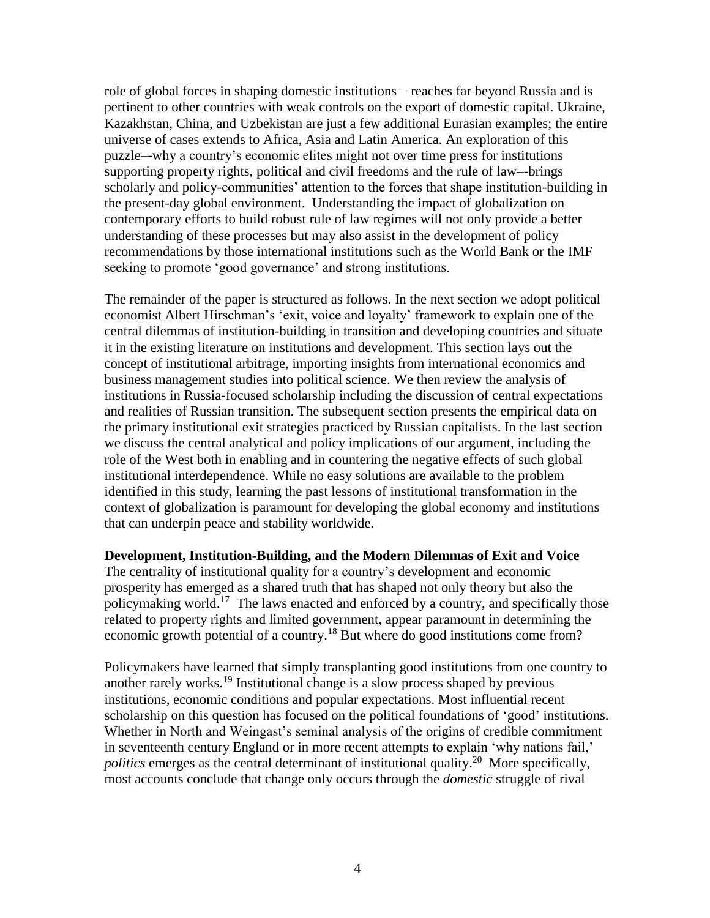role of global forces in shaping domestic institutions – reaches far beyond Russia and is pertinent to other countries with weak controls on the export of domestic capital. Ukraine, Kazakhstan, China, and Uzbekistan are just a few additional Eurasian examples; the entire universe of cases extends to Africa, Asia and Latin America. An exploration of this puzzle–-why a country's economic elites might not over time press for institutions supporting property rights, political and civil freedoms and the rule of law–-brings scholarly and policy-communities' attention to the forces that shape institution-building in the present-day global environment. Understanding the impact of globalization on contemporary efforts to build robust rule of law regimes will not only provide a better understanding of these processes but may also assist in the development of policy recommendations by those international institutions such as the World Bank or the IMF seeking to promote 'good governance' and strong institutions.

The remainder of the paper is structured as follows. In the next section we adopt political economist Albert Hirschman's 'exit, voice and loyalty' framework to explain one of the central dilemmas of institution-building in transition and developing countries and situate it in the existing literature on institutions and development. This section lays out the concept of institutional arbitrage, importing insights from international economics and business management studies into political science. We then review the analysis of institutions in Russia-focused scholarship including the discussion of central expectations and realities of Russian transition. The subsequent section presents the empirical data on the primary institutional exit strategies practiced by Russian capitalists. In the last section we discuss the central analytical and policy implications of our argument, including the role of the West both in enabling and in countering the negative effects of such global institutional interdependence. While no easy solutions are available to the problem identified in this study, learning the past lessons of institutional transformation in the context of globalization is paramount for developing the global economy and institutions that can underpin peace and stability worldwide.

### **Development, Institution-Building, and the Modern Dilemmas of Exit and Voice**

The centrality of institutional quality for a country's development and economic prosperity has emerged as a shared truth that has shaped not only theory but also the policymaking world.<sup>17</sup> The laws enacted and enforced by a country, and specifically those related to property rights and limited government, appear paramount in determining the economic growth potential of a country.<sup>18</sup> But where do good institutions come from?

Policymakers have learned that simply transplanting good institutions from one country to another rarely works.<sup>19</sup> Institutional change is a slow process shaped by previous institutions, economic conditions and popular expectations. Most influential recent scholarship on this question has focused on the political foundations of 'good' institutions. Whether in North and Weingast's seminal analysis of the origins of credible commitment in seventeenth century England or in more recent attempts to explain 'why nations fail,' politics emerges as the central determinant of institutional quality.<sup>20</sup> More specifically, most accounts conclude that change only occurs through the *domestic* struggle of rival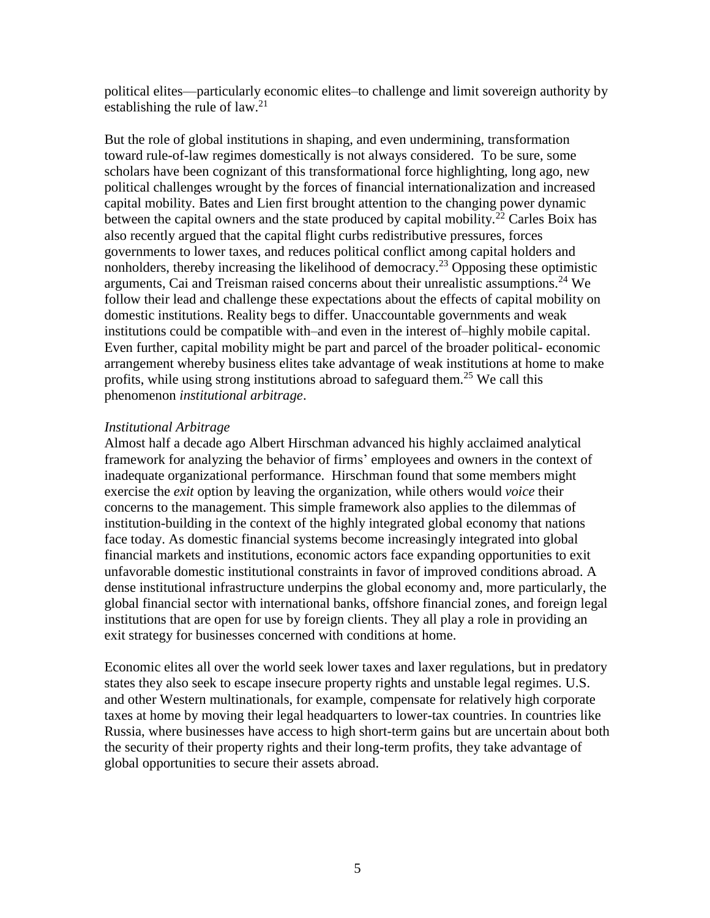political elites—particularly economic elites–to challenge and limit sovereign authority by establishing the rule of  $law.<sup>21</sup>$ 

But the role of global institutions in shaping, and even undermining, transformation toward rule-of-law regimes domestically is not always considered. To be sure, some scholars have been cognizant of this transformational force highlighting, long ago, new political challenges wrought by the forces of financial internationalization and increased capital mobility. Bates and Lien first brought attention to the changing power dynamic between the capital owners and the state produced by capital mobility.<sup>22</sup> Carles Boix has also recently argued that the capital flight curbs redistributive pressures, forces governments to lower taxes, and reduces political conflict among capital holders and nonholders, thereby increasing the likelihood of democracy.<sup>23</sup> Opposing these optimistic arguments, Cai and Treisman raised concerns about their unrealistic assumptions.<sup>24</sup> We follow their lead and challenge these expectations about the effects of capital mobility on domestic institutions. Reality begs to differ. Unaccountable governments and weak institutions could be compatible with–and even in the interest of–highly mobile capital. Even further, capital mobility might be part and parcel of the broader political- economic arrangement whereby business elites take advantage of weak institutions at home to make profits, while using strong institutions abroad to safeguard them. <sup>25</sup> We call this phenomenon *institutional arbitrage*.

# *Institutional Arbitrage*

Almost half a decade ago Albert Hirschman advanced his highly acclaimed analytical framework for analyzing the behavior of firms' employees and owners in the context of inadequate organizational performance. Hirschman found that some members might exercise the *exit* option by leaving the organization, while others would *voice* their concerns to the management. This simple framework also applies to the dilemmas of institution-building in the context of the highly integrated global economy that nations face today. As domestic financial systems become increasingly integrated into global financial markets and institutions, economic actors face expanding opportunities to exit unfavorable domestic institutional constraints in favor of improved conditions abroad. A dense institutional infrastructure underpins the global economy and, more particularly, the global financial sector with international banks, offshore financial zones, and foreign legal institutions that are open for use by foreign clients. They all play a role in providing an exit strategy for businesses concerned with conditions at home.

Economic elites all over the world seek lower taxes and laxer regulations, but in predatory states they also seek to escape insecure property rights and unstable legal regimes. U.S. and other Western multinationals, for example, compensate for relatively high corporate taxes at home by moving their legal headquarters to lower-tax countries. In countries like Russia, where businesses have access to high short-term gains but are uncertain about both the security of their property rights and their long-term profits, they take advantage of global opportunities to secure their assets abroad.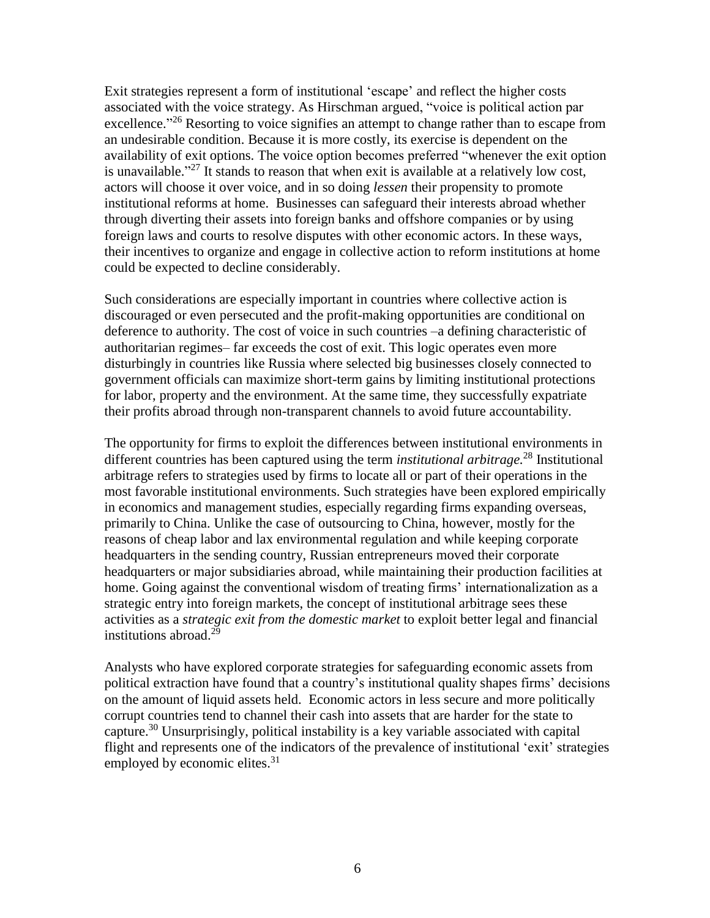Exit strategies represent a form of institutional 'escape' and reflect the higher costs associated with the voice strategy. As Hirschman argued, "voice is political action par excellence."<sup>26</sup> Resorting to voice signifies an attempt to change rather than to escape from an undesirable condition. Because it is more costly, its exercise is dependent on the availability of exit options. The voice option becomes preferred "whenever the exit option is unavailable."<sup>27</sup> It stands to reason that when exit is available at a relatively low cost, actors will choose it over voice, and in so doing *lessen* their propensity to promote institutional reforms at home. Businesses can safeguard their interests abroad whether through diverting their assets into foreign banks and offshore companies or by using foreign laws and courts to resolve disputes with other economic actors. In these ways, their incentives to organize and engage in collective action to reform institutions at home could be expected to decline considerably.

Such considerations are especially important in countries where collective action is discouraged or even persecuted and the profit-making opportunities are conditional on deference to authority. The cost of voice in such countries –a defining characteristic of authoritarian regimes– far exceeds the cost of exit. This logic operates even more disturbingly in countries like Russia where selected big businesses closely connected to government officials can maximize short-term gains by limiting institutional protections for labor, property and the environment. At the same time, they successfully expatriate their profits abroad through non-transparent channels to avoid future accountability.

The opportunity for firms to exploit the differences between institutional environments in different countries has been captured using the term *institutional arbitrage.*<sup>28</sup> Institutional arbitrage refers to strategies used by firms to locate all or part of their operations in the most favorable institutional environments. Such strategies have been explored empirically in economics and management studies, especially regarding firms expanding overseas, primarily to China. Unlike the case of outsourcing to China, however, mostly for the reasons of cheap labor and lax environmental regulation and while keeping corporate headquarters in the sending country, Russian entrepreneurs moved their corporate headquarters or major subsidiaries abroad, while maintaining their production facilities at home. Going against the conventional wisdom of treating firms' internationalization as a strategic entry into foreign markets, the concept of institutional arbitrage sees these activities as a *strategic exit from the domestic market* to exploit better legal and financial institutions abroad.<sup>29</sup>

Analysts who have explored corporate strategies for safeguarding economic assets from political extraction have found that a country's institutional quality shapes firms' decisions on the amount of liquid assets held. Economic actors in less secure and more politically corrupt countries tend to channel their cash into assets that are harder for the state to capture. <sup>30</sup> Unsurprisingly, political instability is a key variable associated with capital flight and represents one of the indicators of the prevalence of institutional 'exit' strategies employed by economic elites.<sup>31</sup>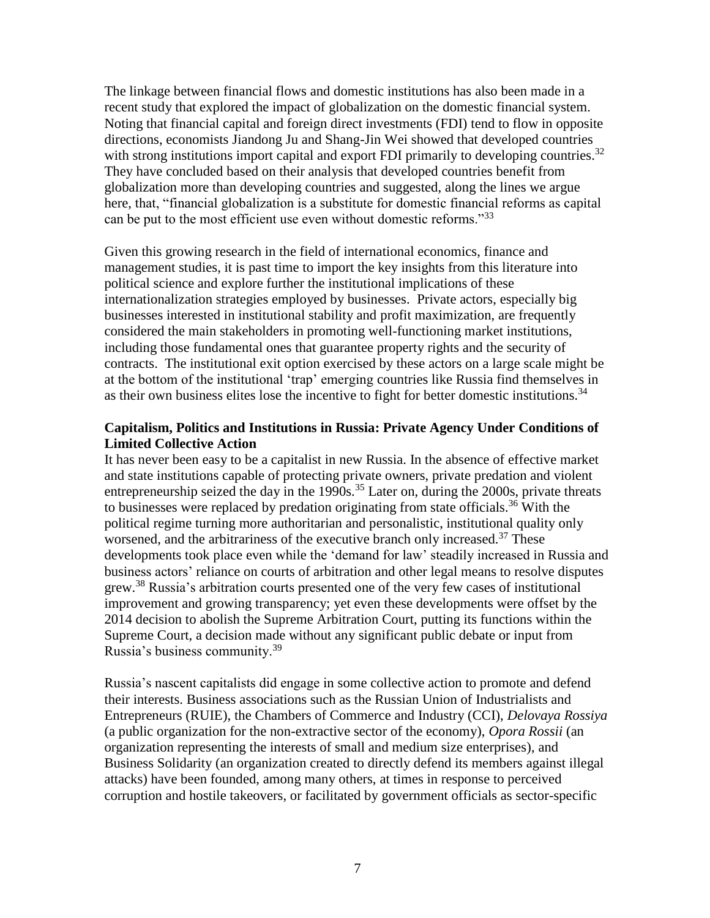The linkage between financial flows and domestic institutions has also been made in a recent study that explored the impact of globalization on the domestic financial system. Noting that financial capital and foreign direct investments (FDI) tend to flow in opposite directions, economists Jiandong Ju and Shang-Jin Wei showed that developed countries with strong institutions import capital and export FDI primarily to developing countries.<sup>32</sup> They have concluded based on their analysis that developed countries benefit from globalization more than developing countries and suggested, along the lines we argue here, that, "financial globalization is a substitute for domestic financial reforms as capital can be put to the most efficient use even without domestic reforms."<sup>33</sup>

Given this growing research in the field of international economics, finance and management studies, it is past time to import the key insights from this literature into political science and explore further the institutional implications of these internationalization strategies employed by businesses. Private actors, especially big businesses interested in institutional stability and profit maximization, are frequently considered the main stakeholders in promoting well-functioning market institutions, including those fundamental ones that guarantee property rights and the security of contracts. The institutional exit option exercised by these actors on a large scale might be at the bottom of the institutional 'trap' emerging countries like Russia find themselves in as their own business elites lose the incentive to fight for better domestic institutions.<sup>34</sup>

# **Capitalism, Politics and Institutions in Russia: Private Agency Under Conditions of Limited Collective Action**

It has never been easy to be a capitalist in new Russia. In the absence of effective market and state institutions capable of protecting private owners, private predation and violent entrepreneurship seized the day in the  $1990s$ .<sup>35</sup> Later on, during the 2000s, private threats to businesses were replaced by predation originating from state officials. <sup>36</sup> With the political regime turning more authoritarian and personalistic, institutional quality only worsened, and the arbitrariness of the executive branch only increased.<sup>37</sup> These developments took place even while the 'demand for law' steadily increased in Russia and business actors' reliance on courts of arbitration and other legal means to resolve disputes grew. <sup>38</sup> Russia's arbitration courts presented one of the very few cases of institutional improvement and growing transparency; yet even these developments were offset by the 2014 decision to abolish the Supreme Arbitration Court, putting its functions within the Supreme Court, a decision made without any significant public debate or input from Russia's business community.<sup>39</sup>

Russia's nascent capitalists did engage in some collective action to promote and defend their interests. Business associations such as the Russian Union of Industrialists and Entrepreneurs (RUIE), the Chambers of Commerce and Industry (CCI), *Delovaya Rossiya* (a public organization for the non-extractive sector of the economy), *Opora Rossii* (an organization representing the interests of small and medium size enterprises), and Business Solidarity (an organization created to directly defend its members against illegal attacks) have been founded, among many others, at times in response to perceived corruption and hostile takeovers, or facilitated by government officials as sector-specific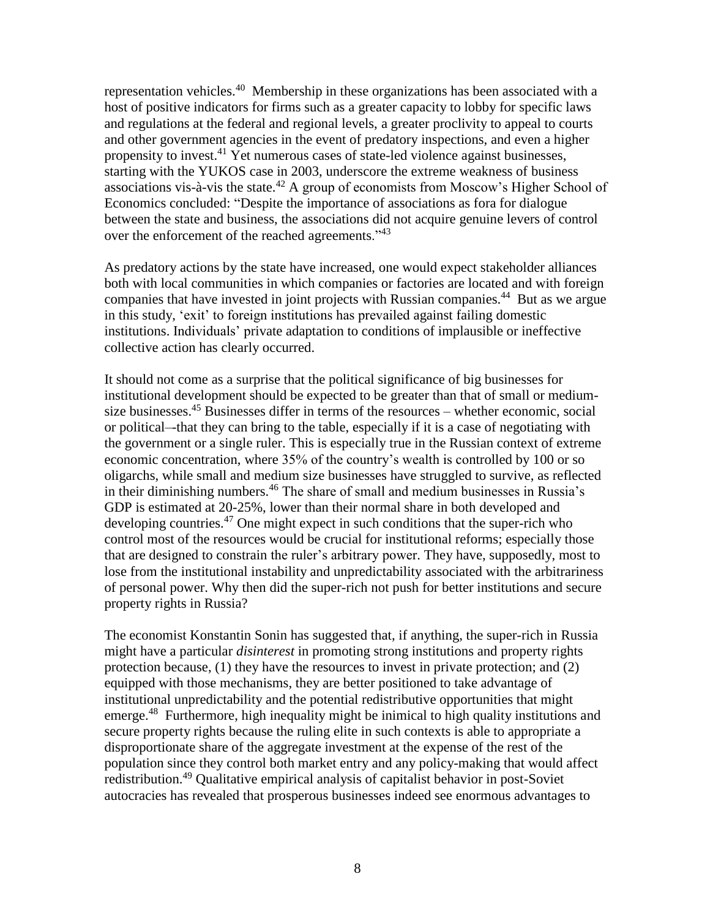representation vehicles.<sup>40</sup> Membership in these organizations has been associated with a host of positive indicators for firms such as a greater capacity to lobby for specific laws and regulations at the federal and regional levels, a greater proclivity to appeal to courts and other government agencies in the event of predatory inspections, and even a higher propensity to invest.<sup>41</sup> Yet numerous cases of state-led violence against businesses, starting with the YUKOS case in 2003, underscore the extreme weakness of business associations vis-à-vis the state.<sup>42</sup> A group of economists from Moscow's Higher School of Economics concluded: "Despite the importance of associations as fora for dialogue between the state and business, the associations did not acquire genuine levers of control over the enforcement of the reached agreements."<sup>43</sup>

As predatory actions by the state have increased, one would expect stakeholder alliances both with local communities in which companies or factories are located and with foreign companies that have invested in joint projects with Russian companies.<sup>44</sup> But as we argue in this study, 'exit' to foreign institutions has prevailed against failing domestic institutions. Individuals' private adaptation to conditions of implausible or ineffective collective action has clearly occurred.

It should not come as a surprise that the political significance of big businesses for institutional development should be expected to be greater than that of small or mediumsize businesses. <sup>45</sup> Businesses differ in terms of the resources – whether economic, social or political–-that they can bring to the table, especially if it is a case of negotiating with the government or a single ruler. This is especially true in the Russian context of extreme economic concentration, where 35% of the country's wealth is controlled by 100 or so oligarchs, while small and medium size businesses have struggled to survive, as reflected in their diminishing numbers.<sup>46</sup> The share of small and medium businesses in Russia's GDP is estimated at 20-25%, lower than their normal share in both developed and developing countries.<sup>47</sup> One might expect in such conditions that the super-rich who control most of the resources would be crucial for institutional reforms; especially those that are designed to constrain the ruler's arbitrary power. They have, supposedly, most to lose from the institutional instability and unpredictability associated with the arbitrariness of personal power. Why then did the super-rich not push for better institutions and secure property rights in Russia?

The economist Konstantin Sonin has suggested that, if anything, the super-rich in Russia might have a particular *disinterest* in promoting strong institutions and property rights protection because, (1) they have the resources to invest in private protection; and (2) equipped with those mechanisms, they are better positioned to take advantage of institutional unpredictability and the potential redistributive opportunities that might emerge.<sup>48</sup> Furthermore, high inequality might be inimical to high quality institutions and secure property rights because the ruling elite in such contexts is able to appropriate a disproportionate share of the aggregate investment at the expense of the rest of the population since they control both market entry and any policy-making that would affect redistribution.<sup>49</sup> Qualitative empirical analysis of capitalist behavior in post-Soviet autocracies has revealed that prosperous businesses indeed see enormous advantages to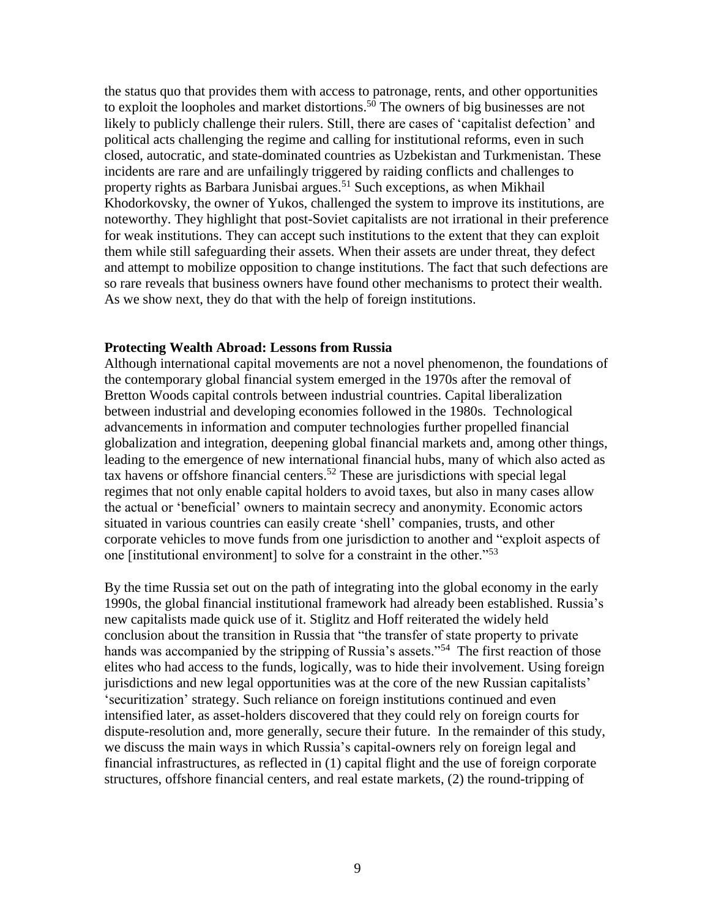the status quo that provides them with access to patronage, rents, and other opportunities to exploit the loopholes and market distortions.<sup>50</sup> The owners of big businesses are not likely to publicly challenge their rulers. Still, there are cases of 'capitalist defection' and political acts challenging the regime and calling for institutional reforms, even in such closed, autocratic, and state-dominated countries as Uzbekistan and Turkmenistan. These incidents are rare and are unfailingly triggered by raiding conflicts and challenges to property rights as Barbara Junisbai argues. <sup>51</sup> Such exceptions, as when Mikhail Khodorkovsky, the owner of Yukos, challenged the system to improve its institutions, are noteworthy. They highlight that post-Soviet capitalists are not irrational in their preference for weak institutions. They can accept such institutions to the extent that they can exploit them while still safeguarding their assets. When their assets are under threat, they defect and attempt to mobilize opposition to change institutions. The fact that such defections are so rare reveals that business owners have found other mechanisms to protect their wealth. As we show next, they do that with the help of foreign institutions.

### **Protecting Wealth Abroad: Lessons from Russia**

Although international capital movements are not a novel phenomenon, the foundations of the contemporary global financial system emerged in the 1970s after the removal of Bretton Woods capital controls between industrial countries. Capital liberalization between industrial and developing economies followed in the 1980s. Technological advancements in information and computer technologies further propelled financial globalization and integration, deepening global financial markets and, among other things, leading to the emergence of new international financial hubs, many of which also acted as tax havens or offshore financial centers. <sup>52</sup> These are jurisdictions with special legal regimes that not only enable capital holders to avoid taxes, but also in many cases allow the actual or 'beneficial' owners to maintain secrecy and anonymity. Economic actors situated in various countries can easily create 'shell' companies, trusts, and other corporate vehicles to move funds from one jurisdiction to another and "exploit aspects of one [institutional environment] to solve for a constraint in the other."<sup>53</sup>

By the time Russia set out on the path of integrating into the global economy in the early 1990s, the global financial institutional framework had already been established. Russia's new capitalists made quick use of it. Stiglitz and Hoff reiterated the widely held conclusion about the transition in Russia that "the transfer of state property to private hands was accompanied by the stripping of Russia's assets."<sup>54</sup> The first reaction of those elites who had access to the funds, logically, was to hide their involvement. Using foreign jurisdictions and new legal opportunities was at the core of the new Russian capitalists' 'securitization' strategy. Such reliance on foreign institutions continued and even intensified later, as asset-holders discovered that they could rely on foreign courts for dispute-resolution and, more generally, secure their future. In the remainder of this study, we discuss the main ways in which Russia's capital-owners rely on foreign legal and financial infrastructures, as reflected in (1) capital flight and the use of foreign corporate structures, offshore financial centers, and real estate markets, (2) the round-tripping of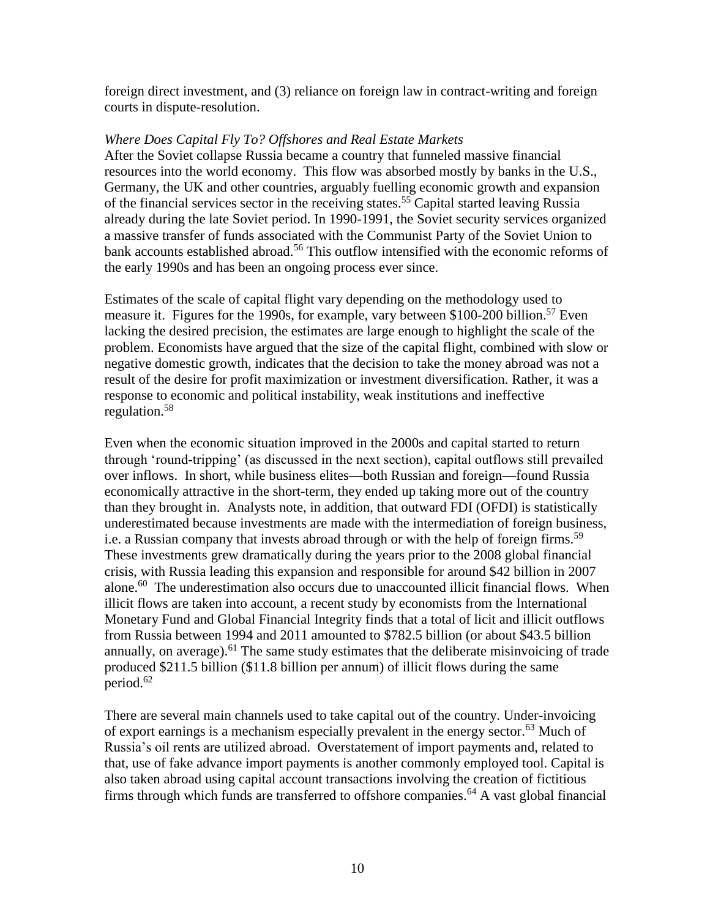foreign direct investment, and (3) reliance on foreign law in contract-writing and foreign courts in dispute-resolution.

# *Where Does Capital Fly To? Offshores and Real Estate Markets*

After the Soviet collapse Russia became a country that funneled massive financial resources into the world economy. This flow was absorbed mostly by banks in the U.S., Germany, the UK and other countries, arguably fuelling economic growth and expansion of the financial services sector in the receiving states. <sup>55</sup> Capital started leaving Russia already during the late Soviet period. In 1990-1991, the Soviet security services organized a massive transfer of funds associated with the Communist Party of the Soviet Union to bank accounts established abroad.<sup>56</sup> This outflow intensified with the economic reforms of the early 1990s and has been an ongoing process ever since.

Estimates of the scale of capital flight vary depending on the methodology used to measure it. Figures for the 1990s, for example, vary between \$100-200 billion.<sup>57</sup> Even lacking the desired precision, the estimates are large enough to highlight the scale of the problem. Economists have argued that the size of the capital flight, combined with slow or negative domestic growth, indicates that the decision to take the money abroad was not a result of the desire for profit maximization or investment diversification. Rather, it was a response to economic and political instability, weak institutions and ineffective regulation.<sup>58</sup>

Even when the economic situation improved in the 2000s and capital started to return through 'round-tripping' (as discussed in the next section), capital outflows still prevailed over inflows. In short, while business elites—both Russian and foreign—found Russia economically attractive in the short-term, they ended up taking more out of the country than they brought in. Analysts note, in addition, that outward FDI (OFDI) is statistically underestimated because investments are made with the intermediation of foreign business, i.e. a Russian company that invests abroad through or with the help of foreign firms.<sup>59</sup> These investments grew dramatically during the years prior to the 2008 global financial crisis, with Russia leading this expansion and responsible for around \$42 billion in 2007 alone. 60 The underestimation also occurs due to unaccounted illicit financial flows. When illicit flows are taken into account, a recent study by economists from the International Monetary Fund and Global Financial Integrity finds that a total of licit and illicit outflows from Russia between 1994 and 2011 amounted to \$782.5 billion (or about \$43.5 billion annually, on average).<sup>61</sup> The same study estimates that the deliberate misinvoicing of trade produced \$211.5 billion (\$11.8 billion per annum) of illicit flows during the same period.<sup>62</sup>

There are several main channels used to take capital out of the country. Under-invoicing of export earnings is a mechanism especially prevalent in the energy sector.<sup>63</sup> Much of Russia's oil rents are utilized abroad. Overstatement of import payments and, related to that, use of fake advance import payments is another commonly employed tool. Capital is also taken abroad using capital account transactions involving the creation of fictitious firms through which funds are transferred to offshore companies.<sup>64</sup> A vast global financial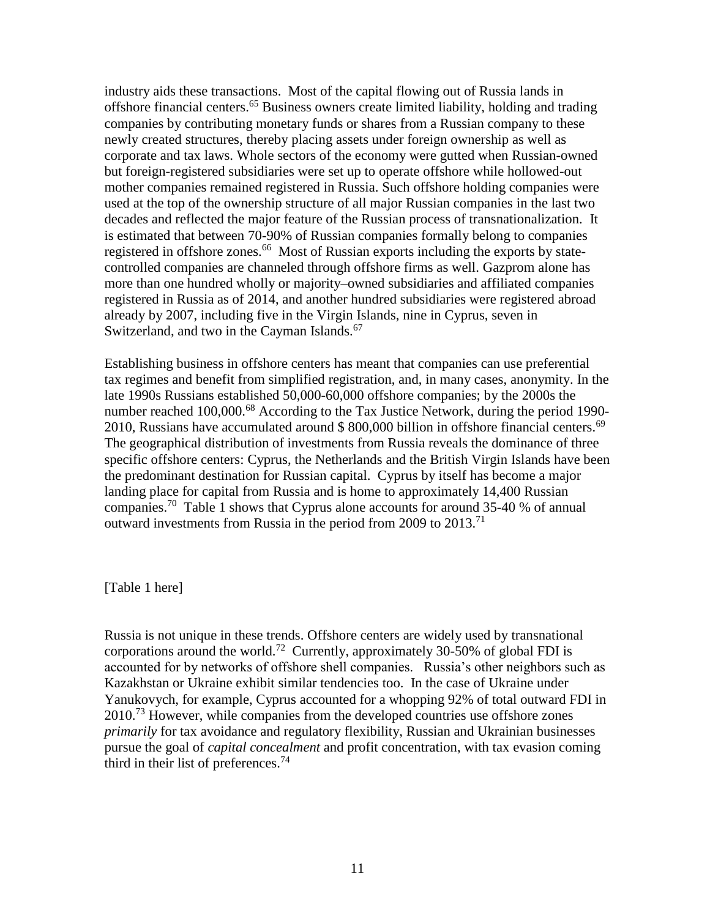industry aids these transactions. Most of the capital flowing out of Russia lands in offshore financial centers.<sup>65</sup> Business owners create limited liability, holding and trading companies by contributing monetary funds or shares from a Russian company to these newly created structures, thereby placing assets under foreign ownership as well as corporate and tax laws. Whole sectors of the economy were gutted when Russian-owned but foreign-registered subsidiaries were set up to operate offshore while hollowed-out mother companies remained registered in Russia. Such offshore holding companies were used at the top of the ownership structure of all major Russian companies in the last two decades and reflected the major feature of the Russian process of transnationalization. It is estimated that between 70-90% of Russian companies formally belong to companies registered in offshore zones.<sup>66</sup> Most of Russian exports including the exports by statecontrolled companies are channeled through offshore firms as well. Gazprom alone has more than one hundred wholly or majority–owned subsidiaries and affiliated companies registered in Russia as of 2014, and another hundred subsidiaries were registered abroad already by 2007, including five in the Virgin Islands, nine in Cyprus, seven in Switzerland, and two in the Cayman Islands.<sup>67</sup>

Establishing business in offshore centers has meant that companies can use preferential tax regimes and benefit from simplified registration, and, in many cases, anonymity. In the late 1990s Russians established 50,000-60,000 offshore companies; by the 2000s the number reached 100,000.<sup>68</sup> According to the Tax Justice Network, during the period 1990-2010, Russians have accumulated around \$ 800,000 billion in offshore financial centers.<sup>69</sup> The geographical distribution of investments from Russia reveals the dominance of three specific offshore centers: Cyprus, the Netherlands and the British Virgin Islands have been the predominant destination for Russian capital. Cyprus by itself has become a major landing place for capital from Russia and is home to approximately 14,400 Russian companies. 70 Table 1 shows that Cyprus alone accounts for around 35-40 % of annual outward investments from Russia in the period from 2009 to  $2013$ .<sup>71</sup>

[Table 1 here]

Russia is not unique in these trends. Offshore centers are widely used by transnational corporations around the world.<sup>72</sup> Currently, approximately 30-50% of global FDI is accounted for by networks of offshore shell companies. Russia's other neighbors such as Kazakhstan or Ukraine exhibit similar tendencies too. In the case of Ukraine under Yanukovych, for example, Cyprus accounted for a whopping 92% of total outward FDI in  $2010<sup>73</sup>$  However, while companies from the developed countries use offshore zones *primarily* for tax avoidance and regulatory flexibility, Russian and Ukrainian businesses pursue the goal of *capital concealment* and profit concentration, with tax evasion coming third in their list of preferences. 74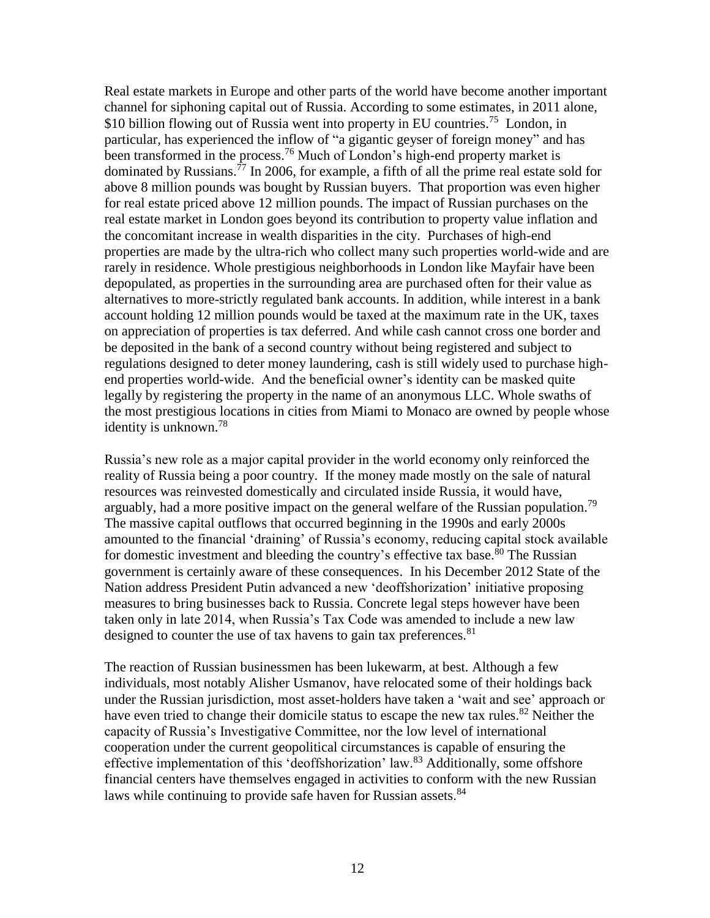Real estate markets in Europe and other parts of the world have become another important channel for siphoning capital out of Russia. According to some estimates, in 2011 alone, \$10 billion flowing out of Russia went into property in EU countries.<sup>75</sup> London, in particular, has experienced the inflow of "a gigantic geyser of foreign money" and has been transformed in the process.<sup>76</sup> Much of London's high-end property market is dominated by Russians.<sup> $77$ </sup> In 2006, for example, a fifth of all the prime real estate sold for above 8 million pounds was bought by Russian buyers. That proportion was even higher for real estate priced above 12 million pounds. The impact of Russian purchases on the real estate market in London goes beyond its contribution to property value inflation and the concomitant increase in wealth disparities in the city. Purchases of high-end properties are made by the ultra-rich who collect many such properties world-wide and are rarely in residence. Whole prestigious neighborhoods in London like Mayfair have been depopulated, as properties in the surrounding area are purchased often for their value as alternatives to more-strictly regulated bank accounts. In addition, while interest in a bank account holding 12 million pounds would be taxed at the maximum rate in the UK, taxes on appreciation of properties is tax deferred. And while cash cannot cross one border and be deposited in the bank of a second country without being registered and subject to regulations designed to deter money laundering, cash is still widely used to purchase highend properties world-wide. And the beneficial owner's identity can be masked quite legally by registering the property in the name of an anonymous LLC. Whole swaths of the most prestigious locations in cities from Miami to Monaco are owned by people whose identity is unknown.<sup>78</sup>

Russia's new role as a major capital provider in the world economy only reinforced the reality of Russia being a poor country. If the money made mostly on the sale of natural resources was reinvested domestically and circulated inside Russia, it would have, arguably, had a more positive impact on the general welfare of the Russian population.<sup>79</sup> The massive capital outflows that occurred beginning in the 1990s and early 2000s amounted to the financial 'draining' of Russia's economy, reducing capital stock available for domestic investment and bleeding the country's effective tax base.<sup>80</sup> The Russian government is certainly aware of these consequences. In his December 2012 State of the Nation address President Putin advanced a new 'deoffshorization' initiative proposing measures to bring businesses back to Russia. Concrete legal steps however have been taken only in late 2014, when Russia's Tax Code was amended to include a new law designed to counter the use of tax havens to gain tax preferences.<sup>81</sup>

The reaction of Russian businessmen has been lukewarm, at best. Although a few individuals, most notably Alisher Usmanov, have relocated some of their holdings back under the Russian jurisdiction, most asset-holders have taken a 'wait and see' approach or have even tried to change their domicile status to escape the new tax rules.<sup>82</sup> Neither the capacity of Russia's Investigative Committee, nor the low level of international cooperation under the current geopolitical circumstances is capable of ensuring the effective implementation of this 'deoffshorization' law.<sup>83</sup> Additionally, some offshore financial centers have themselves engaged in activities to conform with the new Russian laws while continuing to provide safe haven for Russian assets.<sup>84</sup>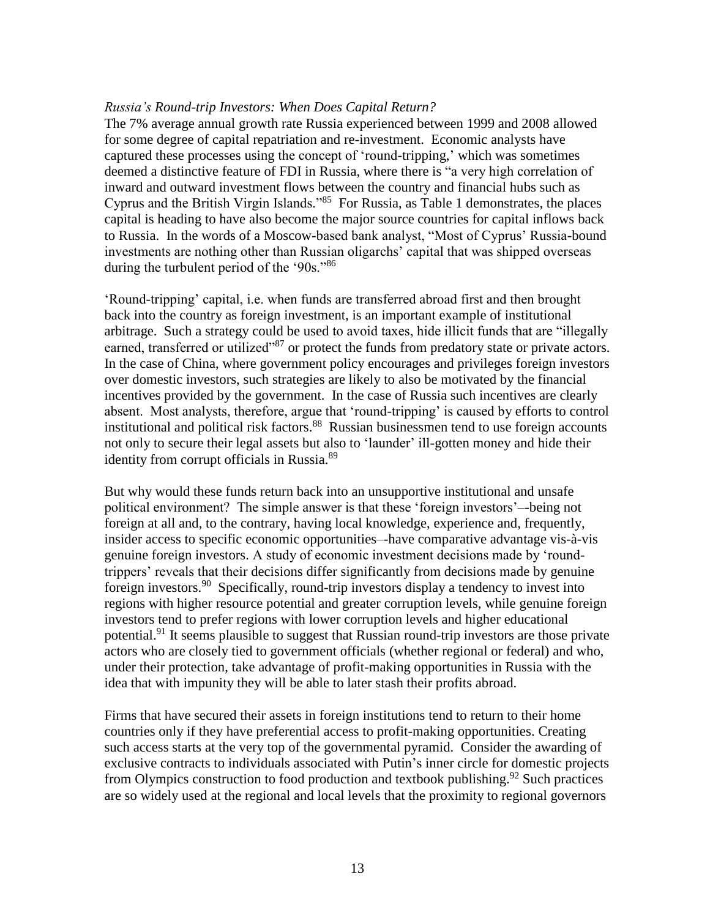## *Russia's Round-trip Investors: When Does Capital Return?*

The 7% average annual growth rate Russia experienced between 1999 and 2008 allowed for some degree of capital repatriation and re-investment. Economic analysts have captured these processes using the concept of 'round-tripping,' which was sometimes deemed a distinctive feature of FDI in Russia, where there is "a very high correlation of inward and outward investment flows between the country and financial hubs such as Cyprus and the British Virgin Islands."<sup>85</sup> For Russia, as Table 1 demonstrates, the places capital is heading to have also become the major source countries for capital inflows back to Russia. In the words of a Moscow-based bank analyst, "Most of Cyprus' Russia-bound investments are nothing other than Russian oligarchs' capital that was shipped overseas during the turbulent period of the '90s."<sup>86</sup>

'Round-tripping' capital, i.e. when funds are transferred abroad first and then brought back into the country as foreign investment, is an important example of institutional arbitrage. Such a strategy could be used to avoid taxes, hide illicit funds that are "illegally earned, transferred or utilized<sup>87</sup> or protect the funds from predatory state or private actors. In the case of China, where government policy encourages and privileges foreign investors over domestic investors, such strategies are likely to also be motivated by the financial incentives provided by the government. In the case of Russia such incentives are clearly absent. Most analysts, therefore, argue that 'round-tripping' is caused by efforts to control institutional and political risk factors.<sup>88</sup> Russian businessmen tend to use foreign accounts not only to secure their legal assets but also to 'launder' ill-gotten money and hide their identity from corrupt officials in Russia.<sup>89</sup>

But why would these funds return back into an unsupportive institutional and unsafe political environment? The simple answer is that these 'foreign investors'–-being not foreign at all and, to the contrary, having local knowledge, experience and, frequently, insider access to specific economic opportunities–-have comparative advantage vis-à-vis genuine foreign investors. A study of economic investment decisions made by 'roundtrippers' reveals that their decisions differ significantly from decisions made by genuine foreign investors.<sup>90</sup> Specifically, round-trip investors display a tendency to invest into regions with higher resource potential and greater corruption levels, while genuine foreign investors tend to prefer regions with lower corruption levels and higher educational potential.<sup>91</sup> It seems plausible to suggest that Russian round-trip investors are those private actors who are closely tied to government officials (whether regional or federal) and who, under their protection, take advantage of profit-making opportunities in Russia with the idea that with impunity they will be able to later stash their profits abroad.

Firms that have secured their assets in foreign institutions tend to return to their home countries only if they have preferential access to profit-making opportunities. Creating such access starts at the very top of the governmental pyramid. Consider the awarding of exclusive contracts to individuals associated with Putin's inner circle for domestic projects from Olympics construction to food production and textbook publishing.<sup>92</sup> Such practices are so widely used at the regional and local levels that the proximity to regional governors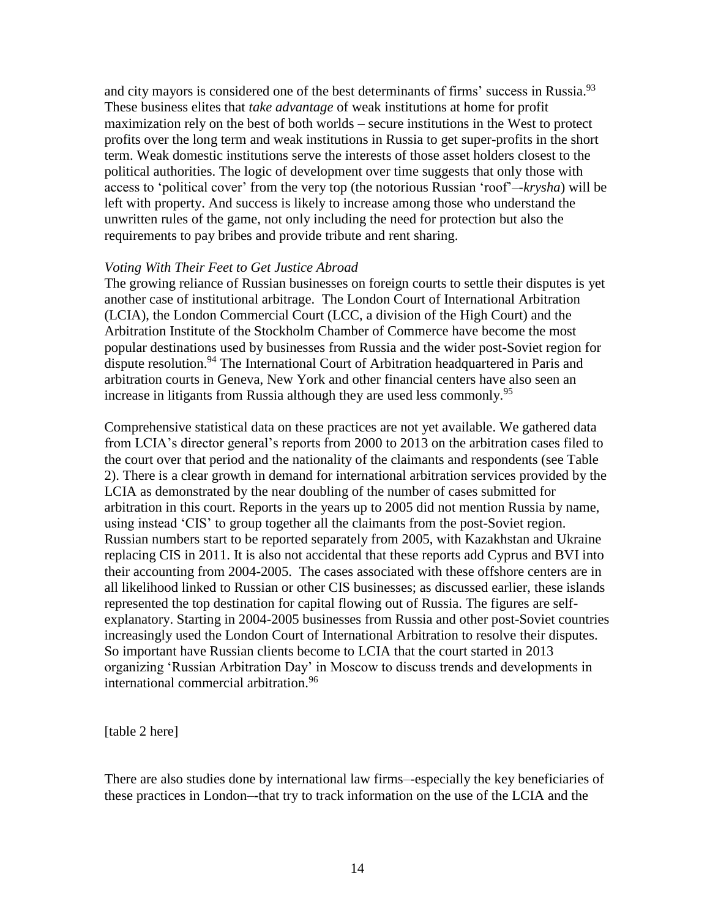and city mayors is considered one of the best determinants of firms' success in Russia.<sup>93</sup> These business elites that *take advantage* of weak institutions at home for profit maximization rely on the best of both worlds – secure institutions in the West to protect profits over the long term and weak institutions in Russia to get super-profits in the short term. Weak domestic institutions serve the interests of those asset holders closest to the political authorities. The logic of development over time suggests that only those with access to 'political cover' from the very top (the notorious Russian 'roof'–-*krysha*) will be left with property. And success is likely to increase among those who understand the unwritten rules of the game, not only including the need for protection but also the requirements to pay bribes and provide tribute and rent sharing.

## *Voting With Their Feet to Get Justice Abroad*

The growing reliance of Russian businesses on foreign courts to settle their disputes is yet another case of institutional arbitrage. The London Court of International Arbitration (LCIA), the London Commercial Court (LCC, a division of the High Court) and the Arbitration Institute of the Stockholm Chamber of Commerce have become the most popular destinations used by businesses from Russia and the wider post-Soviet region for dispute resolution.<sup>94</sup> The International Court of Arbitration headquartered in Paris and arbitration courts in Geneva, New York and other financial centers have also seen an increase in litigants from Russia although they are used less commonly.<sup>95</sup>

Comprehensive statistical data on these practices are not yet available. We gathered data from LCIA's director general's reports from 2000 to 2013 on the arbitration cases filed to the court over that period and the nationality of the claimants and respondents (see Table 2). There is a clear growth in demand for international arbitration services provided by the LCIA as demonstrated by the near doubling of the number of cases submitted for arbitration in this court. Reports in the years up to 2005 did not mention Russia by name, using instead 'CIS' to group together all the claimants from the post-Soviet region. Russian numbers start to be reported separately from 2005, with Kazakhstan and Ukraine replacing CIS in 2011. It is also not accidental that these reports add Cyprus and BVI into their accounting from 2004-2005. The cases associated with these offshore centers are in all likelihood linked to Russian or other CIS businesses; as discussed earlier, these islands represented the top destination for capital flowing out of Russia. The figures are selfexplanatory. Starting in 2004-2005 businesses from Russia and other post-Soviet countries increasingly used the London Court of International Arbitration to resolve their disputes. So important have Russian clients become to LCIA that the court started in 2013 organizing 'Russian Arbitration Day' in Moscow to discuss trends and developments in international commercial arbitration.<sup>96</sup>

[table 2 here]

There are also studies done by international law firms–-especially the key beneficiaries of these practices in London–-that try to track information on the use of the LCIA and the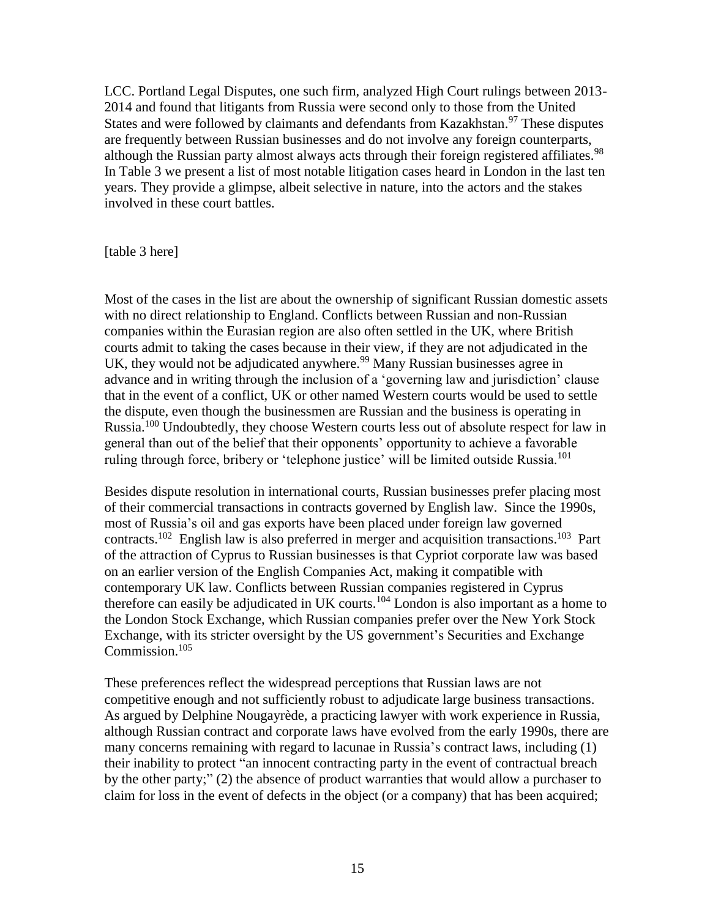LCC. Portland Legal Disputes, one such firm, analyzed High Court rulings between 2013- 2014 and found that litigants from Russia were second only to those from the United States and were followed by claimants and defendants from Kazakhstan.<sup>97</sup> These disputes are frequently between Russian businesses and do not involve any foreign counterparts, although the Russian party almost always acts through their foreign registered affiliates.<sup>98</sup> In Table 3 we present a list of most notable litigation cases heard in London in the last ten years. They provide a glimpse, albeit selective in nature, into the actors and the stakes involved in these court battles.

[table 3 here]

Most of the cases in the list are about the ownership of significant Russian domestic assets with no direct relationship to England. Conflicts between Russian and non-Russian companies within the Eurasian region are also often settled in the UK, where British courts admit to taking the cases because in their view, if they are not adjudicated in the UK, they would not be adjudicated anywhere.<sup>99</sup> Many Russian businesses agree in advance and in writing through the inclusion of a 'governing law and jurisdiction' clause that in the event of a conflict, UK or other named Western courts would be used to settle the dispute, even though the businessmen are Russian and the business is operating in Russia.<sup>100</sup> Undoubtedly, they choose Western courts less out of absolute respect for law in general than out of the belief that their opponents' opportunity to achieve a favorable ruling through force, bribery or 'telephone justice' will be limited outside Russia.<sup>101</sup>

Besides dispute resolution in international courts, Russian businesses prefer placing most of their commercial transactions in contracts governed by English law. Since the 1990s, most of Russia's oil and gas exports have been placed under foreign law governed contracts.<sup>102</sup> English law is also preferred in merger and acquisition transactions.<sup>103</sup> Part of the attraction of Cyprus to Russian businesses is that Cypriot corporate law was based on an earlier version of the English Companies Act, making it compatible with contemporary UK law. Conflicts between Russian companies registered in Cyprus therefore can easily be adjudicated in UK courts.<sup>104</sup> London is also important as a home to the London Stock Exchange, which Russian companies prefer over the New York Stock Exchange, with its stricter oversight by the US government's Securities and Exchange Commission. 105

These preferences reflect the widespread perceptions that Russian laws are not competitive enough and not sufficiently robust to adjudicate large business transactions. As argued by Delphine Nougayrède, a practicing lawyer with work experience in Russia, although Russian contract and corporate laws have evolved from the early 1990s, there are many concerns remaining with regard to lacunae in Russia's contract laws, including (1) their inability to protect "an innocent contracting party in the event of contractual breach by the other party;" (2) the absence of product warranties that would allow a purchaser to claim for loss in the event of defects in the object (or a company) that has been acquired;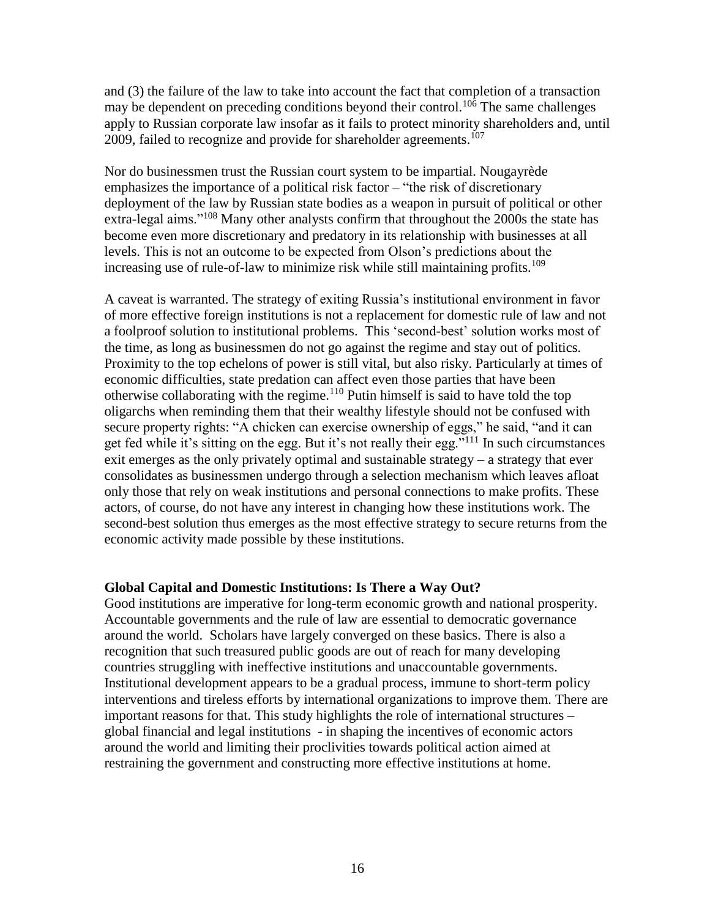and (3) the failure of the law to take into account the fact that completion of a transaction may be dependent on preceding conditions beyond their control.<sup>106</sup> The same challenges apply to Russian corporate law insofar as it fails to protect minority shareholders and, until 2009, failed to recognize and provide for shareholder agreements.<sup>107</sup>

Nor do businessmen trust the Russian court system to be impartial. Nougayrède emphasizes the importance of a political risk factor – "the risk of discretionary deployment of the law by Russian state bodies as a weapon in pursuit of political or other extra-legal aims."<sup>108</sup> Many other analysts confirm that throughout the 2000s the state has become even more discretionary and predatory in its relationship with businesses at all levels. This is not an outcome to be expected from Olson's predictions about the increasing use of rule-of-law to minimize risk while still maintaining profits.<sup>109</sup>

A caveat is warranted. The strategy of exiting Russia's institutional environment in favor of more effective foreign institutions is not a replacement for domestic rule of law and not a foolproof solution to institutional problems. This 'second-best' solution works most of the time, as long as businessmen do not go against the regime and stay out of politics. Proximity to the top echelons of power is still vital, but also risky. Particularly at times of economic difficulties, state predation can affect even those parties that have been otherwise collaborating with the regime.<sup>110</sup> Putin himself is said to have told the top oligarchs when reminding them that their wealthy lifestyle should not be confused with secure property rights: "A chicken can exercise ownership of eggs," he said, "and it can get fed while it's sitting on the egg. But it's not really their egg."<sup>111</sup> In such circumstances exit emerges as the only privately optimal and sustainable strategy – a strategy that ever consolidates as businessmen undergo through a selection mechanism which leaves afloat only those that rely on weak institutions and personal connections to make profits. These actors, of course, do not have any interest in changing how these institutions work. The second-best solution thus emerges as the most effective strategy to secure returns from the economic activity made possible by these institutions.

# **Global Capital and Domestic Institutions: Is There a Way Out?**

Good institutions are imperative for long-term economic growth and national prosperity. Accountable governments and the rule of law are essential to democratic governance around the world. Scholars have largely converged on these basics. There is also a recognition that such treasured public goods are out of reach for many developing countries struggling with ineffective institutions and unaccountable governments. Institutional development appears to be a gradual process, immune to short-term policy interventions and tireless efforts by international organizations to improve them. There are important reasons for that. This study highlights the role of international structures – global financial and legal institutions - in shaping the incentives of economic actors around the world and limiting their proclivities towards political action aimed at restraining the government and constructing more effective institutions at home.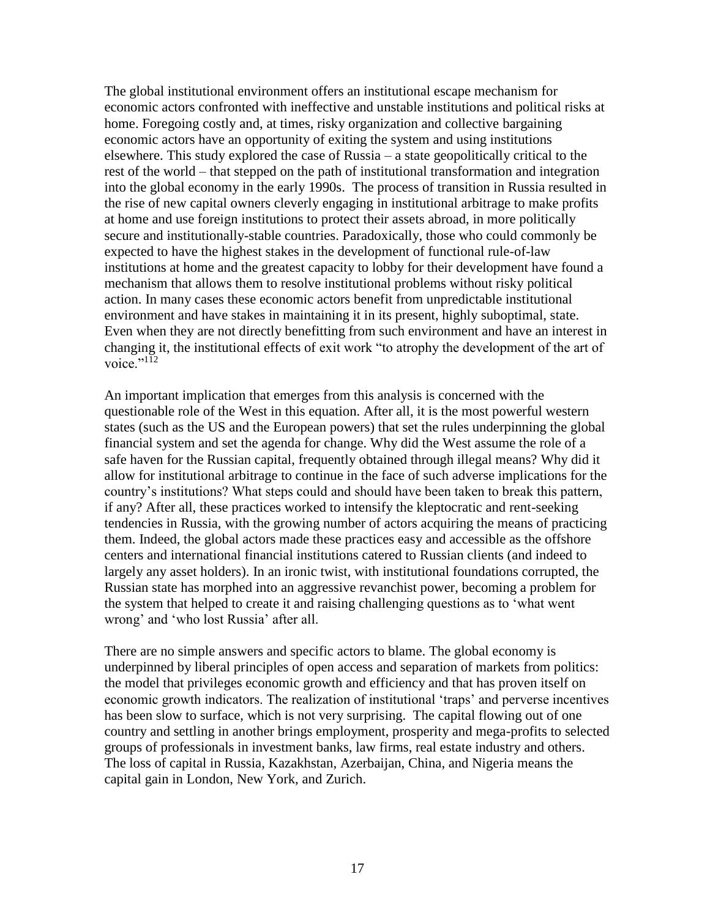The global institutional environment offers an institutional escape mechanism for economic actors confronted with ineffective and unstable institutions and political risks at home. Foregoing costly and, at times, risky organization and collective bargaining economic actors have an opportunity of exiting the system and using institutions elsewhere. This study explored the case of Russia – a state geopolitically critical to the rest of the world – that stepped on the path of institutional transformation and integration into the global economy in the early 1990s. The process of transition in Russia resulted in the rise of new capital owners cleverly engaging in institutional arbitrage to make profits at home and use foreign institutions to protect their assets abroad, in more politically secure and institutionally-stable countries. Paradoxically, those who could commonly be expected to have the highest stakes in the development of functional rule-of-law institutions at home and the greatest capacity to lobby for their development have found a mechanism that allows them to resolve institutional problems without risky political action. In many cases these economic actors benefit from unpredictable institutional environment and have stakes in maintaining it in its present, highly suboptimal, state. Even when they are not directly benefitting from such environment and have an interest in changing it, the institutional effects of exit work "to atrophy the development of the art of voice." $112$ 

An important implication that emerges from this analysis is concerned with the questionable role of the West in this equation. After all, it is the most powerful western states (such as the US and the European powers) that set the rules underpinning the global financial system and set the agenda for change. Why did the West assume the role of a safe haven for the Russian capital, frequently obtained through illegal means? Why did it allow for institutional arbitrage to continue in the face of such adverse implications for the country's institutions? What steps could and should have been taken to break this pattern, if any? After all, these practices worked to intensify the kleptocratic and rent-seeking tendencies in Russia, with the growing number of actors acquiring the means of practicing them. Indeed, the global actors made these practices easy and accessible as the offshore centers and international financial institutions catered to Russian clients (and indeed to largely any asset holders). In an ironic twist, with institutional foundations corrupted, the Russian state has morphed into an aggressive revanchist power, becoming a problem for the system that helped to create it and raising challenging questions as to 'what went wrong' and 'who lost Russia' after all.

There are no simple answers and specific actors to blame. The global economy is underpinned by liberal principles of open access and separation of markets from politics: the model that privileges economic growth and efficiency and that has proven itself on economic growth indicators. The realization of institutional 'traps' and perverse incentives has been slow to surface, which is not very surprising. The capital flowing out of one country and settling in another brings employment, prosperity and mega-profits to selected groups of professionals in investment banks, law firms, real estate industry and others. The loss of capital in Russia, Kazakhstan, Azerbaijan, China, and Nigeria means the capital gain in London, New York, and Zurich.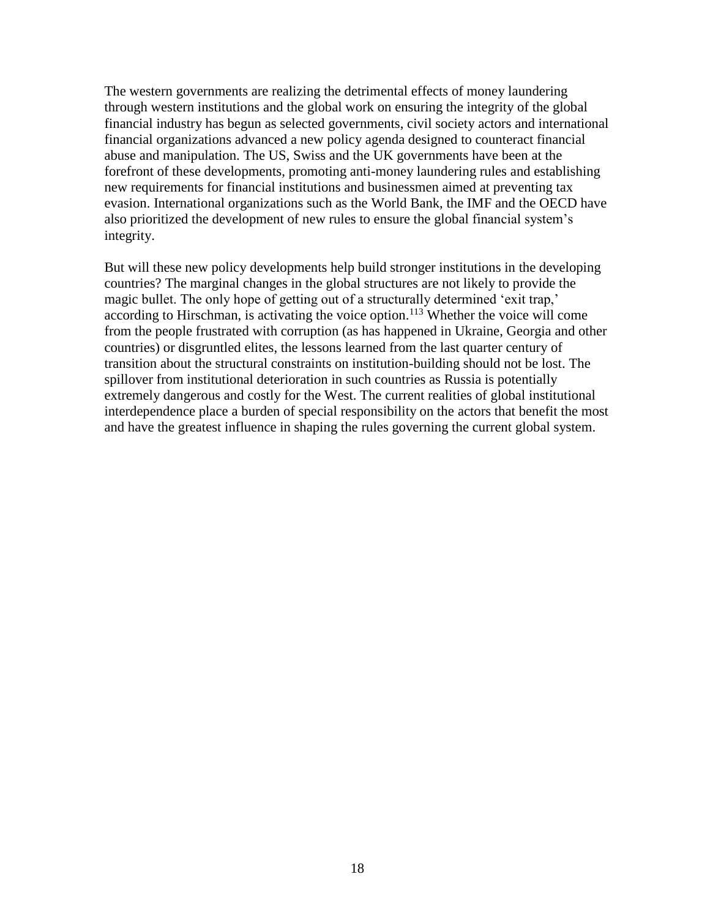The western governments are realizing the detrimental effects of money laundering through western institutions and the global work on ensuring the integrity of the global financial industry has begun as selected governments, civil society actors and international financial organizations advanced a new policy agenda designed to counteract financial abuse and manipulation. The US, Swiss and the UK governments have been at the forefront of these developments, promoting anti-money laundering rules and establishing new requirements for financial institutions and businessmen aimed at preventing tax evasion. International organizations such as the World Bank, the IMF and the OECD have also prioritized the development of new rules to ensure the global financial system's integrity.

But will these new policy developments help build stronger institutions in the developing countries? The marginal changes in the global structures are not likely to provide the magic bullet. The only hope of getting out of a structurally determined 'exit trap,' according to Hirschman, is activating the voice option.<sup>113</sup> Whether the voice will come from the people frustrated with corruption (as has happened in Ukraine, Georgia and other countries) or disgruntled elites, the lessons learned from the last quarter century of transition about the structural constraints on institution-building should not be lost. The spillover from institutional deterioration in such countries as Russia is potentially extremely dangerous and costly for the West. The current realities of global institutional interdependence place a burden of special responsibility on the actors that benefit the most and have the greatest influence in shaping the rules governing the current global system.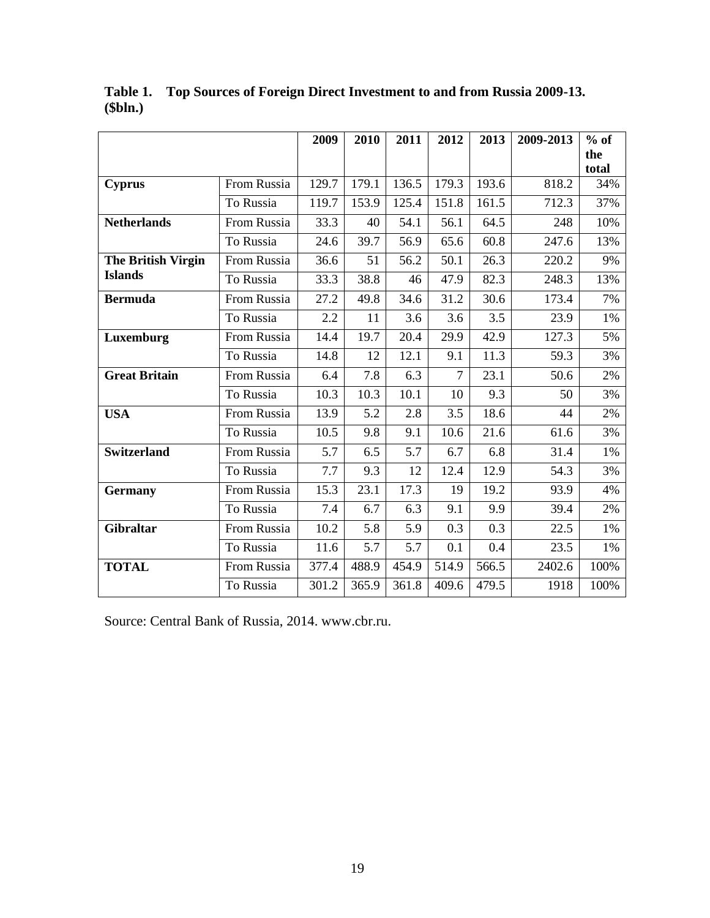|                           |             | 2009  | 2010  | 2011  | 2012   | 2013  | 2009-2013 | $%$ of |
|---------------------------|-------------|-------|-------|-------|--------|-------|-----------|--------|
|                           |             |       |       |       |        |       |           | the    |
|                           |             |       |       |       |        |       |           | total  |
| <b>Cyprus</b>             | From Russia | 129.7 | 179.1 | 136.5 | 179.3  | 193.6 | 818.2     | 34%    |
|                           | To Russia   | 119.7 | 153.9 | 125.4 | 151.8  | 161.5 | 712.3     | 37%    |
| <b>Netherlands</b>        | From Russia | 33.3  | 40    | 54.1  | 56.1   | 64.5  | 248       | 10%    |
|                           | To Russia   | 24.6  | 39.7  | 56.9  | 65.6   | 60.8  | 247.6     | 13%    |
| <b>The British Virgin</b> | From Russia | 36.6  | 51    | 56.2  | 50.1   | 26.3  | 220.2     | 9%     |
| <b>Islands</b>            | To Russia   | 33.3  | 38.8  | 46    | 47.9   | 82.3  | 248.3     | 13%    |
| <b>Bermuda</b>            | From Russia | 27.2  | 49.8  | 34.6  | 31.2   | 30.6  | 173.4     | 7%     |
|                           | To Russia   | 2.2   | 11    | 3.6   | 3.6    | 3.5   | 23.9      | 1%     |
| Luxemburg                 | From Russia | 14.4  | 19.7  | 20.4  | 29.9   | 42.9  | 127.3     | 5%     |
|                           | To Russia   | 14.8  | 12    | 12.1  | 9.1    | 11.3  | 59.3      | 3%     |
| <b>Great Britain</b>      | From Russia | 6.4   | 7.8   | 6.3   | $\tau$ | 23.1  | 50.6      | 2%     |
|                           | To Russia   | 10.3  | 10.3  | 10.1  | 10     | 9.3   | 50        | 3%     |
| <b>USA</b>                | From Russia | 13.9  | 5.2   | 2.8   | 3.5    | 18.6  | 44        | 2%     |
|                           | To Russia   | 10.5  | 9.8   | 9.1   | 10.6   | 21.6  | 61.6      | 3%     |
| <b>Switzerland</b>        | From Russia | 5.7   | 6.5   | 5.7   | 6.7    | 6.8   | 31.4      | 1%     |
|                           | To Russia   | 7.7   | 9.3   | 12    | 12.4   | 12.9  | 54.3      | 3%     |
| <b>Germany</b>            | From Russia | 15.3  | 23.1  | 17.3  | 19     | 19.2  | 93.9      | 4%     |
|                           | To Russia   | 7.4   | 6.7   | 6.3   | 9.1    | 9.9   | 39.4      | 2%     |
| <b>Gibraltar</b>          | From Russia | 10.2  | 5.8   | 5.9   | 0.3    | 0.3   | 22.5      | 1%     |
|                           | To Russia   | 11.6  | 5.7   | 5.7   | 0.1    | 0.4   | 23.5      | 1%     |
| <b>TOTAL</b>              | From Russia | 377.4 | 488.9 | 454.9 | 514.9  | 566.5 | 2402.6    | 100%   |
|                           | To Russia   | 301.2 | 365.9 | 361.8 | 409.6  | 479.5 | 1918      | 100%   |

**Table 1. Top Sources of Foreign Direct Investment to and from Russia 2009-13. (\$bln.)** 

Source: Central Bank of Russia, 2014. www.cbr.ru.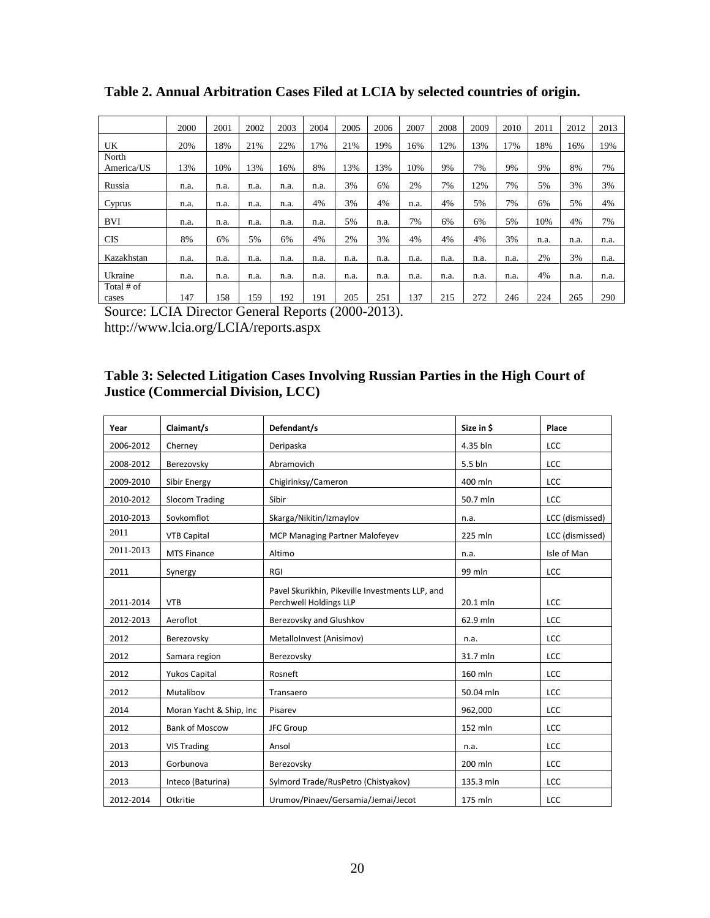|                     | 2000 | 2001 | 2002 | 2003 | 2004 | 2005 | 2006 | 2007 | 2008 | 2009 | 2010 | 2011 | 2012 | 2013 |
|---------------------|------|------|------|------|------|------|------|------|------|------|------|------|------|------|
| UK                  | 20%  | 18%  | 21%  | 22%  | 17%  | 21%  | 19%  | 16%  | 12%  | 13%  | 17%  | 18%  | 16%  | 19%  |
| North<br>America/US | 13%  | 10%  | 13%  | 16%  | 8%   | 13%  | 13%  | 10%  | 9%   | 7%   | 9%   | 9%   | 8%   | 7%   |
| Russia              | n.a. | n.a. | n.a. | n.a. | n.a. | 3%   | 6%   | 2%   | 7%   | 12%  | 7%   | 5%   | 3%   | 3%   |
| Cyprus              | n.a. | n.a. | n.a. | n.a. | 4%   | 3%   | 4%   | n.a. | 4%   | 5%   | 7%   | 6%   | 5%   | 4%   |
| <b>BVI</b>          | n.a. | n.a. | n.a. | n.a. | n.a. | 5%   | n.a. | 7%   | 6%   | 6%   | 5%   | 10%  | 4%   | 7%   |
| <b>CIS</b>          | 8%   | 6%   | 5%   | 6%   | 4%   | 2%   | 3%   | 4%   | 4%   | 4%   | 3%   | n.a. | n.a. | n.a. |
| Kazakhstan          | n.a. | n.a. | n.a. | n.a. | n.a. | n.a. | n.a. | n.a. | n.a. | n.a. | n.a. | 2%   | 3%   | n.a. |
| Ukraine             | n.a. | n.a. | n.a. | n.a. | n.a. | n.a. | n.a. | n.a. | n.a. | n.a. | n.a. | 4%   | n.a. | n.a. |
| Total # of<br>cases | 147  | 158  | 159  | 192  | 191  | 205  | 251  | 137  | 215  | 272  | 246  | 224  | 265  | 290  |

**Table 2. Annual Arbitration Cases Filed at LCIA by selected countries of origin.** 

Source: LCIA Director General Reports (2000-2013). http://www.lcia.org/LCIA/reports.aspx

# **Table 3: Selected Litigation Cases Involving Russian Parties in the High Court of Justice (Commercial Division, LCC)**

| Year      | Claimant/s              | Defendant/s                                                               | Size in \$ | Place           |
|-----------|-------------------------|---------------------------------------------------------------------------|------------|-----------------|
| 2006-2012 | Cherney                 | Deripaska                                                                 | 4.35 bln   | LCC             |
| 2008-2012 | Berezovsky              | Abramovich                                                                | 5.5 bln    | LCC             |
| 2009-2010 | Sibir Energy            | Chigirinksy/Cameron                                                       | 400 mln    | LCC             |
| 2010-2012 | <b>Slocom Trading</b>   | Sibir                                                                     | 50.7 mln   | LCC             |
| 2010-2013 | Sovkomflot              | Skarga/Nikitin/Izmaylov                                                   | n.a.       | LCC (dismissed) |
| 2011      | <b>VTB Capital</b>      | MCP Managing Partner Malofeyev                                            | 225 mln    | LCC (dismissed) |
| 2011-2013 | <b>MTS Finance</b>      | Altimo                                                                    | n.a.       | Isle of Man     |
| 2011      | Synergy                 | RGI                                                                       | 99 mln     | LCC             |
| 2011-2014 | <b>VTB</b>              | Pavel Skurikhin, Pikeville Investments LLP, and<br>Perchwell Holdings LLP | 20.1 mln   | LCC             |
| 2012-2013 | Aeroflot                | Berezovsky and Glushkov                                                   | 62.9 mln   | LCC             |
| 2012      | Berezovsky              | MetalloInvest (Anisimov)                                                  | n.a.       | LCC             |
| 2012      | Samara region           | Berezovsky                                                                | 31.7 mln   | LCC             |
| 2012      | <b>Yukos Capital</b>    | Rosneft                                                                   | 160 mln    | LCC             |
| 2012      | Mutalibov               | Transaero                                                                 | 50.04 mln  | LCC             |
| 2014      | Moran Yacht & Ship, Inc | Pisarev                                                                   | 962,000    | LCC             |
| 2012      | <b>Bank of Moscow</b>   | JFC Group                                                                 | 152 mln    | LCC             |
| 2013      | <b>VIS Trading</b>      | Ansol                                                                     | n.a.       | LCC             |
| 2013      | Gorbunova               | Berezovsky                                                                | 200 mln    | LCC             |
| 2013      | Inteco (Baturina)       | Sylmord Trade/RusPetro (Chistyakov)                                       | 135.3 mln  | LCC             |
| 2012-2014 | Otkritie                | Urumov/Pinaev/Gersamia/Jemai/Jecot                                        | 175 mln    | LCC             |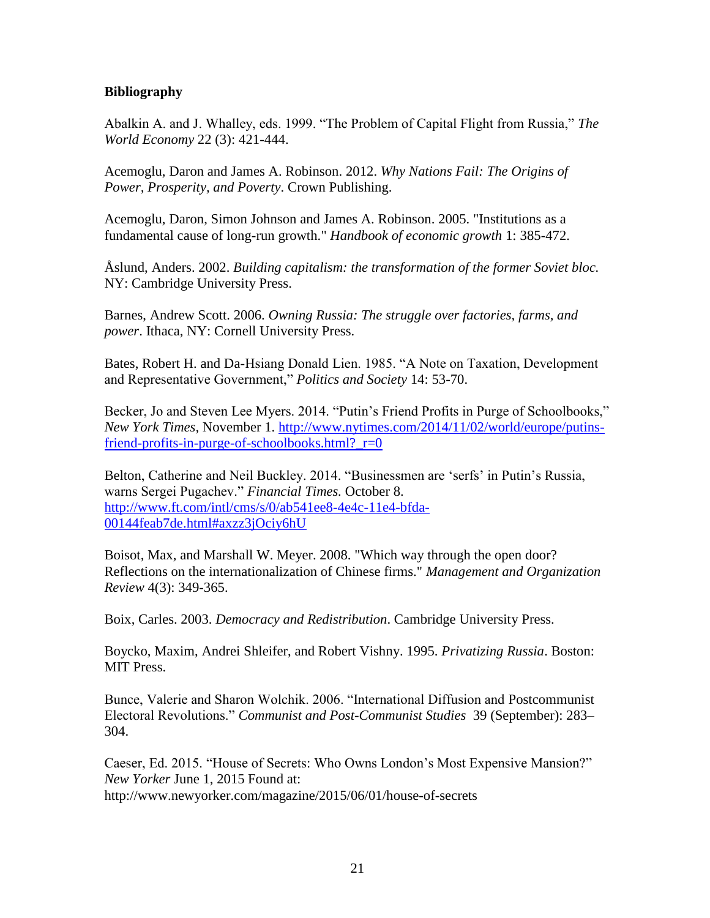# **Bibliography**

Abalkin A. and J. Whalley, eds. 1999. "The Problem of Capital Flight from Russia," *The World Economy* 22 (3): 421-444.

Acemoglu, Daron and James A. Robinson. 2012. *Why Nations Fail: The Origins of Power, Prosperity, and Poverty*. Crown Publishing.

Acemoglu, Daron, Simon Johnson and James A. Robinson. 2005. "Institutions as a fundamental cause of long-run growth." *Handbook of economic growth* 1: 385-472.

Åslund, Anders. 2002. *Building capitalism: the transformation of the former Soviet bloc.*  NY: Cambridge University Press.

Barnes, Andrew Scott. 2006. *Owning Russia: The struggle over factories, farms, and power*. Ithaca, NY: Cornell University Press.

Bates, Robert H. and Da-Hsiang Donald Lien. 1985. "A Note on Taxation, Development and Representative Government," *Politics and Society* 14: 53-70.

Becker, Jo and Steven Lee Myers. 2014. "Putin's Friend Profits in Purge of Schoolbooks," *New York Times,* November 1. [http://www.nytimes.com/2014/11/02/world/europe/putins](http://www.nytimes.com/2014/11/02/world/europe/putins-friend-profits-in-purge-of-schoolbooks.html?_r=0)friend-profits-in-purge-of-schoolbooks.html? $r=0$ 

Belton, Catherine and Neil Buckley. 2014. "Businessmen are 'serfs' in Putin's Russia, warns Sergei Pugachev." *Financial Times.* October 8. [http://www.ft.com/intl/cms/s/0/ab541ee8-4e4c-11e4-bfda-](http://www.ft.com/intl/cms/s/0/ab541ee8-4e4c-11e4-bfda-00144feab7de.html#axzz3jOciy6hU)[00144feab7de.html#axzz3jOciy6hU](http://www.ft.com/intl/cms/s/0/ab541ee8-4e4c-11e4-bfda-00144feab7de.html#axzz3jOciy6hU)

Boisot, Max, and Marshall W. Meyer. 2008. "Which way through the open door? Reflections on the internationalization of Chinese firms." *Management and Organization Review* 4(3): 349-365.

Boix, Carles. 2003. *Democracy and Redistribution*. Cambridge University Press.

Boycko, Maxim, Andrei Shleifer, and Robert Vishny. 1995. *Privatizing Russia*. Boston: MIT Press.

Bunce, Valerie and Sharon Wolchik. 2006. "International Diffusion and Postcommunist Electoral Revolutions." *Communist and Post-Communist Studies* 39 (September): 283– 304.

Caeser, Ed. 2015. "House of Secrets: Who Owns London's Most Expensive Mansion?" *New Yorker* June 1, 2015 Found at: http://www.newyorker.com/magazine/2015/06/01/house-of-secrets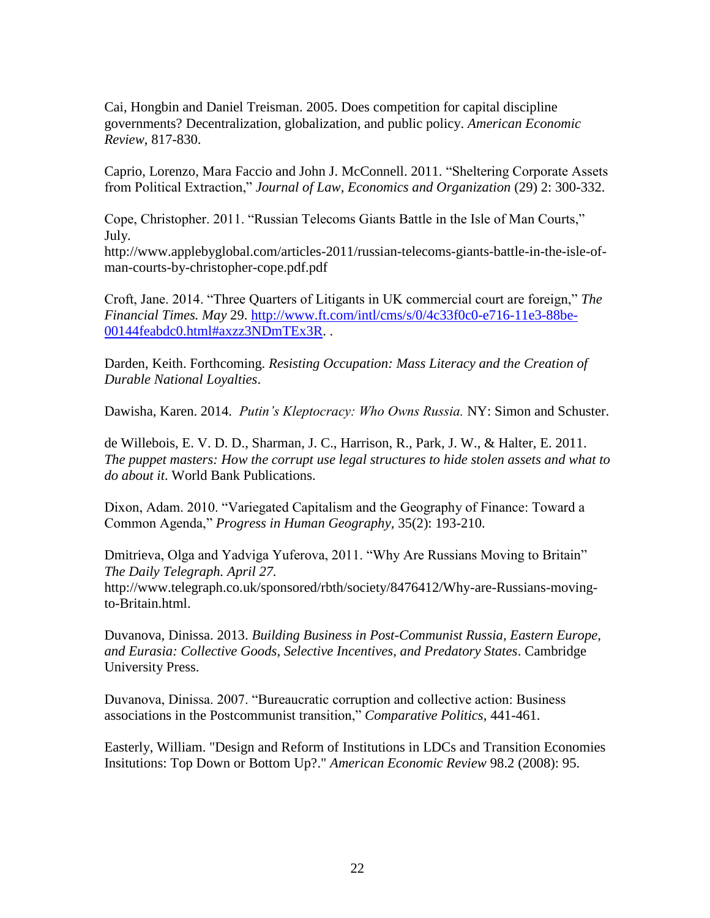Cai, Hongbin and Daniel Treisman. 2005. Does competition for capital discipline governments? Decentralization, globalization, and public policy. *American Economic Review*, 817-830.

Caprio, Lorenzo, Mara Faccio and John J. McConnell. 2011. "Sheltering Corporate Assets from Political Extraction," *Journal of Law, Economics and Organization* (29) 2: 300-332.

Cope, Christopher. 2011. "Russian Telecoms Giants Battle in the Isle of Man Courts," July.

http://www.applebyglobal.com/articles-2011/russian-telecoms-giants-battle-in-the-isle-ofman-courts-by-christopher-cope.pdf.pdf

Croft, Jane. 2014. "Three Quarters of Litigants in UK commercial court are foreign," *The Financial Times. May* 29. [http://www.ft.com/intl/cms/s/0/4c33f0c0-e716-11e3-88be-](http://www.ft.com/intl/cms/s/0/4c33f0c0-e716-11e3-88be-00144feabdc0.html#axzz3NDmTEx3R)[00144feabdc0.html#axzz3NDmTEx3R.](http://www.ft.com/intl/cms/s/0/4c33f0c0-e716-11e3-88be-00144feabdc0.html#axzz3NDmTEx3R) .

Darden, Keith. Forthcoming. *Resisting Occupation: Mass Literacy and the Creation of Durable National Loyalties*.

Dawisha, Karen. 2014. *Putin's Kleptocracy: Who Owns Russia.* NY: Simon and Schuster.

de Willebois, E. V. D. D., Sharman, J. C., Harrison, R., Park, J. W., & Halter, E. 2011. *The puppet masters: How the corrupt use legal structures to hide stolen assets and what to do about it*. World Bank Publications.

Dixon, Adam. 2010. "Variegated Capitalism and the Geography of Finance: Toward a Common Agenda," *Progress in Human Geography,* 35(2): 193-210.

Dmitrieva, Olga and Yadviga Yuferova, 2011. "Why Are Russians Moving to Britain" *The Daily Telegraph. April 27.*  http://www.telegraph.co.uk/sponsored/rbth/society/8476412/Why-are-Russians-movingto-Britain.html.

Duvanova, Dinissa. 2013. *Building Business in Post-Communist Russia, Eastern Europe, and Eurasia: Collective Goods, Selective Incentives, and Predatory States*. Cambridge University Press.

Duvanova, Dinissa. 2007. "Bureaucratic corruption and collective action: Business associations in the Postcommunist transition," *Comparative Politics*, 441-461.

Easterly, William. "Design and Reform of Institutions in LDCs and Transition Economies Insitutions: Top Down or Bottom Up?." *American Economic Review* 98.2 (2008): 95.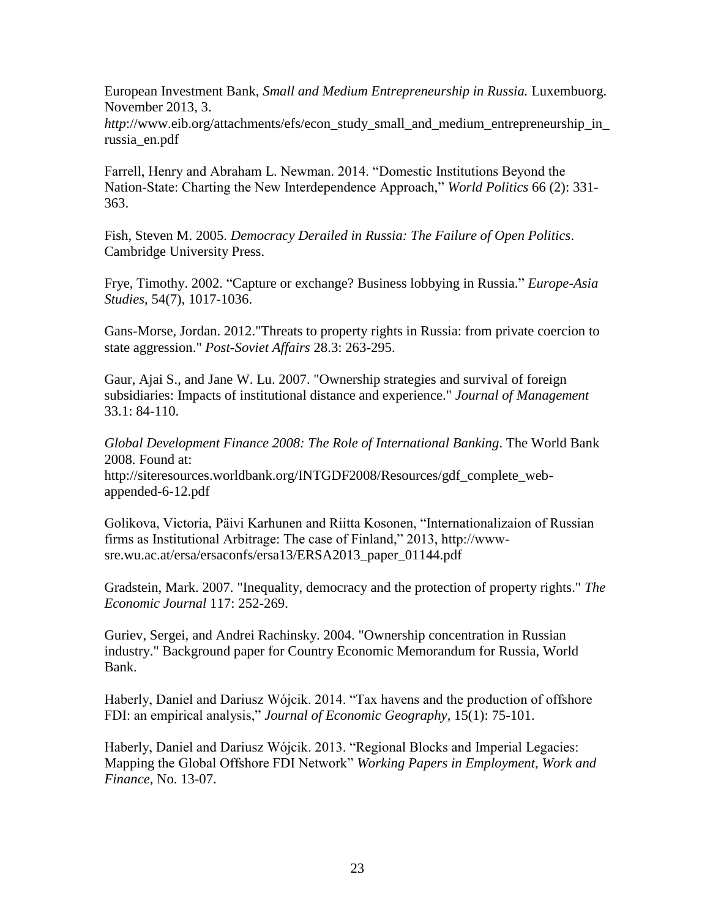European Investment Bank, *Small and Medium Entrepreneurship in Russia.* Luxembuorg. November 2013, 3.

*http*://www.eib.org/attachments/efs/econ\_study\_small\_and\_medium\_entrepreneurship\_in russia\_en.pdf

Farrell, Henry and Abraham L. Newman. 2014. "Domestic Institutions Beyond the Nation-State: Charting the New Interdependence Approach," *World Politics* 66 (2): 331- 363.

Fish, Steven M. 2005. *Democracy Derailed in Russia: The Failure of Open Politics*. Cambridge University Press.

Frye, Timothy. 2002. "Capture or exchange? Business lobbying in Russia." *Europe-Asia Studies*, 54(7), 1017-1036.

Gans-Morse, Jordan. 2012."Threats to property rights in Russia: from private coercion to state aggression." *Post-Soviet Affairs* 28.3: 263-295.

Gaur, Ajai S., and Jane W. Lu. 2007. "Ownership strategies and survival of foreign subsidiaries: Impacts of institutional distance and experience." *Journal of Management* 33.1: 84-110.

*Global Development Finance 2008: The Role of International Banking*. The World Bank 2008. Found at: [http://siteresources.worldbank.org/INTGDF2008/Resources/gdf\\_complete\\_web](http://siteresources.worldbank.org/INTGDF2008/Resources/gdf_complete_web-appended-6-12.pdf)[appended-6-12.pdf](http://siteresources.worldbank.org/INTGDF2008/Resources/gdf_complete_web-appended-6-12.pdf)

Golikova, Victoria, Päivi Karhunen and Riitta Kosonen, "Internationalizaion of Russian firms as Institutional Arbitrage: The case of Finland," 2013, http://wwwsre.wu.ac.at/ersa/ersaconfs/ersa13/ERSA2013\_paper\_01144.pdf

Gradstein, Mark. 2007. "Inequality, democracy and the protection of property rights." *The Economic Journal* 117: 252-269.

Guriev, Sergei, and Andrei Rachinsky. 2004. "Ownership concentration in Russian industry." Background paper for Country Economic Memorandum for Russia, World Bank.

Haberly, Daniel and Dariusz Wójcik. 2014. "Tax havens and the production of offshore FDI: an empirical analysis," *Journal of Economic Geography*, 15(1): 75-101.

Haberly, Daniel and Dariusz Wójcik. 2013. "Regional Blocks and Imperial Legacies: Mapping the Global Offshore FDI Network" *Working Papers in Employment, Work and Finance*, No. 13-07.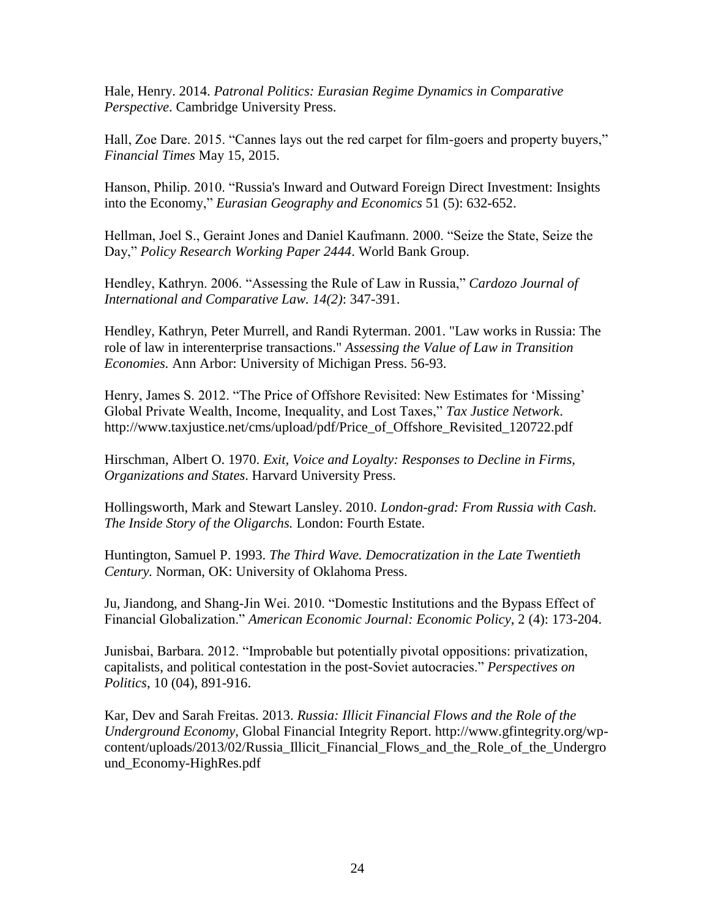Hale, Henry. 2014. *Patronal Politics: Eurasian Regime Dynamics in Comparative Perspective*. Cambridge University Press.

Hall, Zoe Dare. 2015. "Cannes lays out the red carpet for film-goers and property buyers," *Financial Times* May 15, 2015.

Hanson, Philip. 2010. "Russia's Inward and Outward Foreign Direct Investment: Insights into the Economy," *Eurasian Geography and Economics* 51 (5): 632-652.

Hellman, Joel S., Geraint Jones and Daniel Kaufmann. 2000. "Seize the State, Seize the Day," *Policy Research Working Paper 2444*. World Bank Group.

Hendley, Kathryn. 2006. "Assessing the Rule of Law in Russia," *Cardozo Journal of International and Comparative Law. 14(2)*: 347-391.

Hendley, Kathryn, Peter Murrell, and Randi Ryterman. 2001. "Law works in Russia: The role of law in interenterprise transactions." *Assessing the Value of Law in Transition Economies.* Ann Arbor: University of Michigan Press. 56-93.

Henry, James S. 2012. "The Price of Offshore Revisited: New Estimates for 'Missing' Global Private Wealth, Income, Inequality, and Lost Taxes," *Tax Justice Network*. http://www.taxjustice.net/cms/upload/pdf/Price of Offshore Revisited 120722.pdf

Hirschman, Albert O. 1970. *Exit, Voice and Loyalty: Responses to Decline in Firms, Organizations and States*. Harvard University Press.

Hollingsworth, Mark and Stewart Lansley. 2010. *London-grad: From Russia with Cash. The Inside Story of the Oligarchs.* London: Fourth Estate.

Huntington, Samuel P. 1993. *The Third Wave. Democratization in the Late Twentieth Century.* Norman, OK: University of Oklahoma Press.

Ju, Jiandong, and Shang-Jin Wei. 2010. "Domestic Institutions and the Bypass Effect of Financial Globalization." *American Economic Journal: Economic Policy*, 2 (4): 173-204.

Junisbai, Barbara. 2012. "Improbable but potentially pivotal oppositions: privatization, capitalists, and political contestation in the post-Soviet autocracies." *Perspectives on Politics*, 10 (04), 891-916.

Kar, Dev and Sarah Freitas. 2013. *Russia: Illicit Financial Flows and the Role of the Underground Economy,* Global Financial Integrity Report. http://www.gfintegrity.org/wpcontent/uploads/2013/02/Russia\_Illicit\_Financial\_Flows\_and\_the\_Role\_of\_the\_Undergro und\_Economy-HighRes.pdf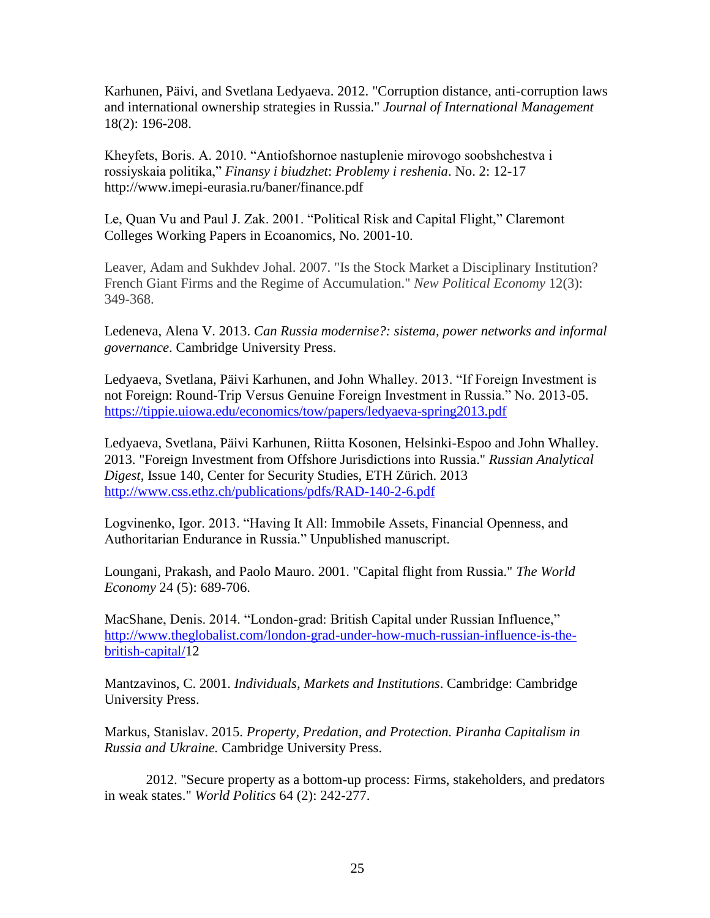Karhunen, Päivi, and Svetlana Ledyaeva. 2012. "Corruption distance, anti-corruption laws and international ownership strategies in Russia." *Journal of International Management* 18(2): 196-208.

Kheyfets, Boris. A. 2010. "Antiofshornoe nastuplenie mirovogo soobshchestva i rossiyskaia politika," *Finansy i biudzhet*: *Problemy i reshenia*. No. 2: 12-17 http://www.imepi-eurasia.ru/baner/finance.pdf

Le, Quan Vu and Paul J. Zak. 2001. "Political Risk and Capital Flight," Claremont Colleges Working Papers in Ecoanomics, No. 2001-10.

Leaver, Adam and Sukhdev Johal. 2007. "Is the Stock Market a Disciplinary Institution? French Giant Firms and the Regime of Accumulation." *New Political Economy* 12(3): 349-368.

Ledeneva, Alena V. 2013. *Can Russia modernise?: sistema, power networks and informal governance*. Cambridge University Press.

Ledyaeva, Svetlana, Päivi Karhunen, and John Whalley. 2013. "If Foreign Investment is not Foreign: Round-Trip Versus Genuine Foreign Investment in Russia." No. 2013-05. <https://tippie.uiowa.edu/economics/tow/papers/ledyaeva-spring2013.pdf>

Ledyaeva, Svetlana, Päivi Karhunen, Riitta Kosonen, Helsinki-Espoo and John Whalley. 2013. "Foreign Investment from Offshore Jurisdictions into Russia." *Russian Analytical Digest*, Issue 140, Center for Security Studies, ETH Zürich. 2013 <http://www.css.ethz.ch/publications/pdfs/RAD-140-2-6.pdf>

Logvinenko, Igor. 2013. "Having It All: Immobile Assets, Financial Openness, and Authoritarian Endurance in Russia." Unpublished manuscript.

Loungani, Prakash, and Paolo Mauro. 2001. "Capital flight from Russia." *The World Economy* 24 (5): 689-706.

MacShane, Denis. 2014. "London-grad: British Capital under Russian Influence," [http://www.theglobalist.com/london-grad-under-how-much-russian-influence-is-the](http://www.theglobalist.com/london-grad-under-how-much-russian-influence-is-the-british-capital/)[british-capital/1](http://www.theglobalist.com/london-grad-under-how-much-russian-influence-is-the-british-capital/)2

Mantzavinos, C. 2001. *Individuals, Markets and Institutions*. Cambridge: Cambridge University Press.

Markus, Stanislav. 2015. *Property, Predation, and Protection. Piranha Capitalism in Russia and Ukraine.* Cambridge University Press.

2012. "Secure property as a bottom-up process: Firms, stakeholders, and predators in weak states." *World Politics* 64 (2): 242-277.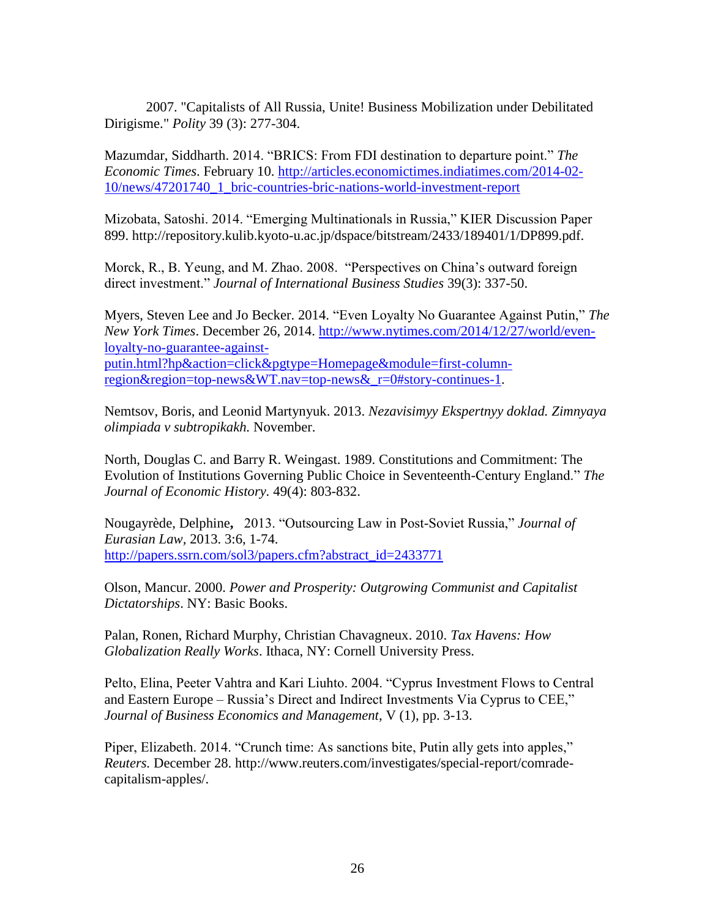2007. "Capitalists of All Russia, Unite! Business Mobilization under Debilitated Dirigisme." *Polity* 39 (3): 277-304.

Mazumdar, Siddharth. 2014. "BRICS: From FDI destination to departure point." *The Economic Times*. February 10. [http://articles.economictimes.indiatimes.com/2014-02-](http://articles.economictimes.indiatimes.com/2014-02-10/news/47201740_1_bric-countries-bric-nations-world-investment-report) [10/news/47201740\\_1\\_bric-countries-bric-nations-world-investment-report](http://articles.economictimes.indiatimes.com/2014-02-10/news/47201740_1_bric-countries-bric-nations-world-investment-report)

Mizobata, Satoshi. 2014. "Emerging Multinationals in Russia," KIER Discussion Paper 899. http://repository.kulib.kyoto-u.ac.jp/dspace/bitstream/2433/189401/1/DP899.pdf.

Morck, R., B. Yeung, and M. Zhao. 2008. "Perspectives on China's outward foreign direct investment." *Journal of International Business Studies* 39(3): 337-50.

Myers, Steven Lee and Jo Becker. 2014. "Even Loyalty No Guarantee Against Putin," *The New York Times*. December 26, 2014. [http://www.nytimes.com/2014/12/27/world/even](http://www.nytimes.com/2014/12/27/world/even-loyalty-no-guarantee-against-putin.html?hp&action=click&pgtype=Homepage&module=first-column-region®ion=top-news&WT.nav=top-news&_r=0#story-continues-1)[loyalty-no-guarantee-against](http://www.nytimes.com/2014/12/27/world/even-loyalty-no-guarantee-against-putin.html?hp&action=click&pgtype=Homepage&module=first-column-region®ion=top-news&WT.nav=top-news&_r=0#story-continues-1)[putin.html?hp&action=click&pgtype=Homepage&module=first-column](http://www.nytimes.com/2014/12/27/world/even-loyalty-no-guarantee-against-putin.html?hp&action=click&pgtype=Homepage&module=first-column-region®ion=top-news&WT.nav=top-news&_r=0#story-continues-1)[region&region=top-news&WT.nav=top-news&\\_r=0#story-continues-1.](http://www.nytimes.com/2014/12/27/world/even-loyalty-no-guarantee-against-putin.html?hp&action=click&pgtype=Homepage&module=first-column-region®ion=top-news&WT.nav=top-news&_r=0#story-continues-1)

Nemtsov, Boris, and Leonid Martynyuk. 2013. *Nezavisimyy Ekspertnyy doklad. Zimnyaya olimpiada v subtropikakh.* November.

North, Douglas C. and Barry R. Weingast. 1989. Constitutions and Commitment: The Evolution of Institutions Governing Public Choice in Seventeenth-Century England." *The Journal of Economic History.* 49(4): 803-832.

Nougayrède, Delphine**,** 2013. "Outsourcing Law in Post-Soviet Russia," *Journal of Eurasian Law,* 2013. 3:6, 1-74. [http://papers.ssrn.com/sol3/papers.cfm?abstract\\_id=2433771](http://papers.ssrn.com/sol3/papers.cfm?abstract_id=2433771)

Olson, Mancur. 2000. *Power and Prosperity: Outgrowing Communist and Capitalist Dictatorships*. NY: Basic Books.

Palan, Ronen, Richard Murphy, Christian Chavagneux. 2010. *Tax Havens: How Globalization Really Works*. Ithaca, NY: Cornell University Press.

Pelto, Elina, Peeter Vahtra and Kari Liuhto. 2004. "Cyprus Investment Flows to Central and Eastern Europe – Russia's Direct and Indirect Investments Via Cyprus to CEE," *Journal of Business Economics and Management*, V (1), pp. 3-13.

Piper, Elizabeth. 2014. "Crunch time: As sanctions bite, Putin ally gets into apples," *Reuters.* December 28. http://www.reuters.com/investigates/special-report/comradecapitalism-apples/.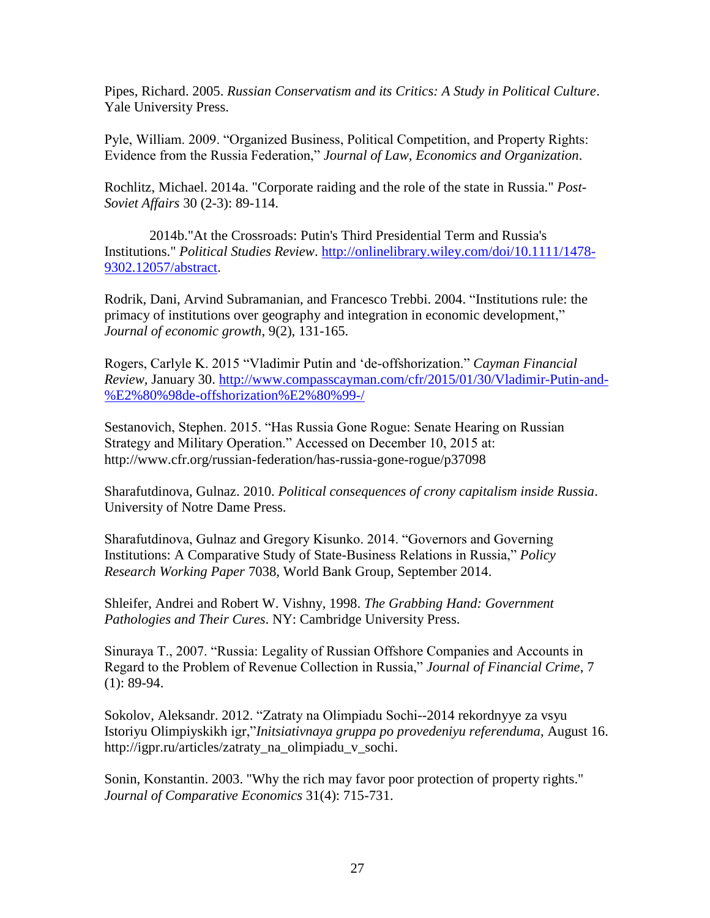Pipes, Richard. 2005. *Russian Conservatism and its Critics: A Study in Political Culture*. Yale University Press.

Pyle, William. 2009. "Organized Business, Political Competition, and Property Rights: Evidence from the Russia Federation," *Journal of Law, Economics and Organization*.

Rochlitz, Michael. 2014a. "Corporate raiding and the role of the state in Russia." *Post-Soviet Affairs* 30 (2-3): 89-114.

2014b."At the Crossroads: Putin's Third Presidential Term and Russia's Institutions." *Political Studies Review*. [http://onlinelibrary.wiley.com/doi/10.1111/1478-](http://onlinelibrary.wiley.com/doi/10.1111/1478-9302.12057/abstract) [9302.12057/abstract.](http://onlinelibrary.wiley.com/doi/10.1111/1478-9302.12057/abstract)

Rodrik, Dani, Arvind Subramanian, and Francesco Trebbi. 2004. "Institutions rule: the primacy of institutions over geography and integration in economic development," *Journal of economic growth*, 9(2), 131-165.

Rogers, Carlyle K. 2015 "Vladimir Putin and 'de-offshorization." *Cayman Financial Review,* January 30. [http://www.compasscayman.com/cfr/2015/01/30/Vladimir-Putin-and-](http://www.compasscayman.com/cfr/2015/01/30/Vladimir-Putin-and-%E2%80%98de-offshorization%E2%80%99-/) [%E2%80%98de-offshorization%E2%80%99-/](http://www.compasscayman.com/cfr/2015/01/30/Vladimir-Putin-and-%E2%80%98de-offshorization%E2%80%99-/)

Sestanovich, Stephen. 2015. "Has Russia Gone Rogue: Senate Hearing on Russian Strategy and Military Operation." Accessed on December 10, 2015 at: http://www.cfr.org/russian-federation/has-russia-gone-rogue/p37098

Sharafutdinova, Gulnaz. 2010. *Political consequences of crony capitalism inside Russia*. University of Notre Dame Press.

Sharafutdinova, Gulnaz and Gregory Kisunko. 2014. "Governors and Governing Institutions: A Comparative Study of State-Business Relations in Russia," *Policy Research Working Paper* 7038, World Bank Group, September 2014.

Shleifer, Andrei and Robert W. Vishny, 1998. *The Grabbing Hand: Government Pathologies and Their Cures*. NY: Cambridge University Press.

Sinuraya T., 2007. "Russia: Legality of Russian Offshore Companies and Accounts in Regard to the Problem of Revenue Collection in Russia," *Journal of Financial Crime*, 7 (1): 89-94.

Sokolov, Aleksandr. 2012. "Zatraty na Olimpiadu Sochi--2014 rekordnyye za vsyu Istoriyu Olimpiyskikh igr,"*Initsiativnaya gruppa po provedeniyu referenduma*, August 16. http://igpr.ru/articles/zatraty\_na\_olimpiadu\_v\_sochi.

Sonin, Konstantin. 2003. "Why the rich may favor poor protection of property rights." *Journal of Comparative Economics* 31(4): 715-731.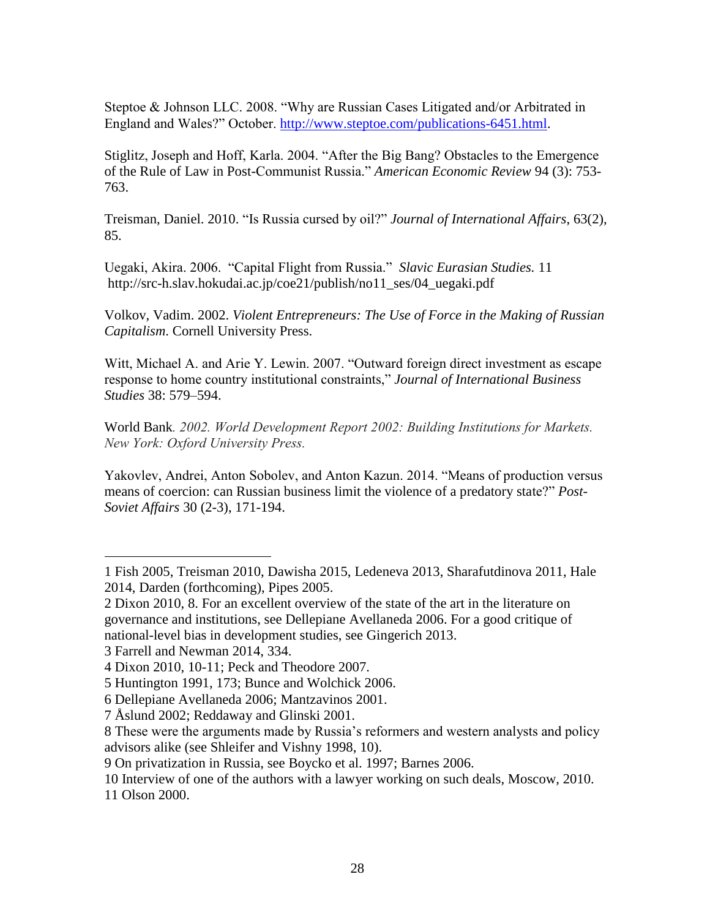Steptoe & Johnson LLC. 2008. "Why are Russian Cases Litigated and/or Arbitrated in England and Wales?" October. [http://www.steptoe.com/publications-6451.html.](http://www.steptoe.com/publications-6451.html)

Stiglitz, Joseph and Hoff, Karla. 2004. "After the Big Bang? Obstacles to the Emergence of the Rule of Law in Post-Communist Russia." *American Economic Review* 94 (3): 753- 763.

Treisman, Daniel. 2010. "Is Russia cursed by oil?" *Journal of International Affairs*, 63(2), 85.

Uegaki, Akira. 2006. "Capital Flight from Russia." *Slavic Eurasian Studies.* 11 http://src-h.slav.hokudai.ac.jp/coe21/publish/no11\_ses/04\_uegaki.pdf

Volkov, Vadim. 2002. *Violent Entrepreneurs: The Use of Force in the Making of Russian Capitalism*. Cornell University Press.

Witt, Michael A. and Arie Y. Lewin. 2007. "Outward foreign direct investment as escape response to home country institutional constraints," *Journal of International Business Studies* 38: 579–594.

World Bank*. 2002. World Development Report 2002: Building Institutions for Markets. New York: Oxford University Press.*

Yakovlev, Andrei, Anton Sobolev, and Anton Kazun. 2014. "Means of production versus means of coercion: can Russian business limit the violence of a predatory state?" *Post-Soviet Affairs* 30 (2-3), 171-194.

 $\overline{a}$ 

<sup>1</sup> Fish 2005, Treisman 2010, Dawisha 2015, Ledeneva 2013, Sharafutdinova 2011, Hale 2014, Darden (forthcoming), Pipes 2005.

<sup>2</sup> Dixon 2010, 8. For an excellent overview of the state of the art in the literature on governance and institutions, see Dellepiane Avellaneda 2006. For a good critique of national-level bias in development studies, see Gingerich 2013.

<sup>3</sup> Farrell and Newman 2014, 334.

<sup>4</sup> Dixon 2010, 10-11; Peck and Theodore 2007.

<sup>5</sup> Huntington 1991, 173; Bunce and Wolchick 2006.

<sup>6</sup> Dellepiane Avellaneda 2006; Mantzavinos 2001.

<sup>7</sup> Åslund 2002; Reddaway and Glinski 2001.

<sup>8</sup> These were the arguments made by Russia's reformers and western analysts and policy advisors alike (see Shleifer and Vishny 1998, 10).

<sup>9</sup> On privatization in Russia, see Boycko et al. 1997; Barnes 2006.

<sup>10</sup> Interview of one of the authors with a lawyer working on such deals, Moscow, 2010. 11 Olson 2000.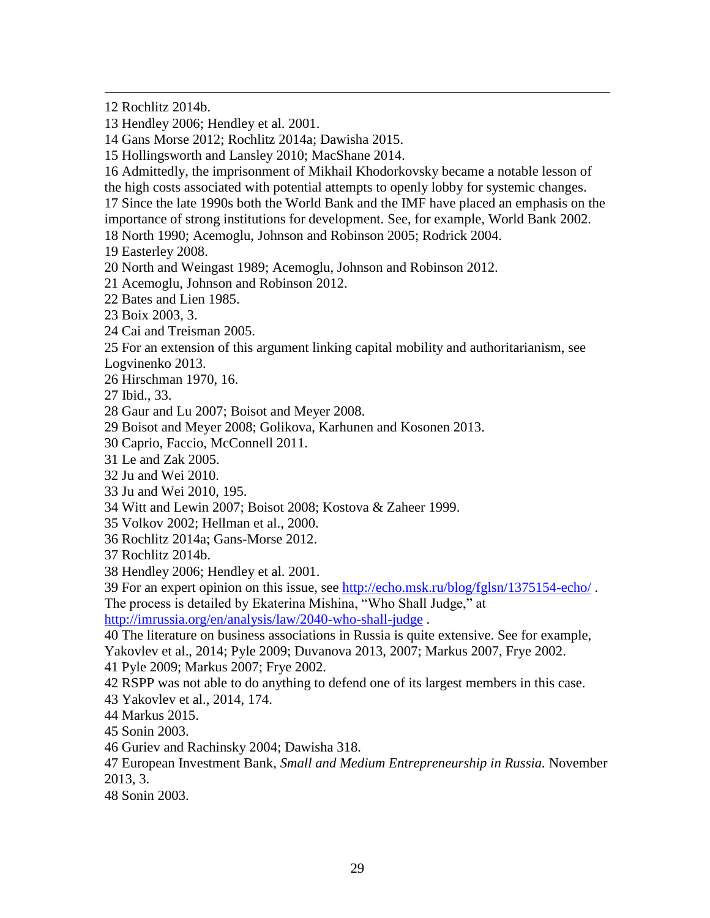$\overline{a}$ 

Admittedly, the imprisonment of Mikhail Khodorkovsky became a notable lesson of

the high costs associated with potential attempts to openly lobby for systemic changes.

Since the late 1990s both the World Bank and the IMF have placed an emphasis on the

importance of strong institutions for development. See, for example, World Bank 2002.

North 1990; Acemoglu, Johnson and Robinson 2005; Rodrick 2004.

North and Weingast 1989; Acemoglu, Johnson and Robinson 2012.

Acemoglu, Johnson and Robinson 2012.

- Bates and Lien 1985.
- Boix 2003, 3.
- Cai and Treisman 2005.
- For an extension of this argument linking capital mobility and authoritarianism, see Logvinenko 2013.
- Hirschman 1970, 16.

Ibid., 33.

- Gaur and Lu 2007; Boisot and Meyer 2008.
- Boisot and Meyer 2008; Golikova, Karhunen and Kosonen 2013.
- Caprio, Faccio, McConnell 2011.
- Le and Zak 2005.
- Ju and Wei 2010.
- Ju and Wei 2010, 195.
- Witt and Lewin 2007; Boisot 2008; Kostova & Zaheer 1999.
- Volkov 2002; Hellman et al., 2000.
- Rochlitz 2014a; Gans-Morse 2012.
- Rochlitz 2014b.
- Hendley 2006; Hendley et al. 2001.
- 39 For an expert opinion on this issue, see<http://echo.msk.ru/blog/fglsn/1375154-echo/>.

The process is detailed by Ekaterina Mishina, "Who Shall Judge," at

<http://imrussia.org/en/analysis/law/2040-who-shall-judge> .

 The literature on business associations in Russia is quite extensive. See for example, Yakovlev et al., 2014; Pyle 2009; Duvanova 2013, 2007; Markus 2007, Frye 2002.

- Pyle 2009; Markus 2007; Frye 2002.
- RSPP was not able to do anything to defend one of its largest members in this case.
- Yakovlev et al., 2014, 174.
- Markus 2015.
- Sonin 2003.
- Guriev and Rachinsky 2004; Dawisha 318.
- European Investment Bank, *Small and Medium Entrepreneurship in Russia.* November 2013, 3.
- Sonin 2003.

Rochlitz 2014b.

Hendley 2006; Hendley et al. 2001.

Gans Morse 2012; Rochlitz 2014a; Dawisha 2015.

Hollingsworth and Lansley 2010; MacShane 2014.

Easterley 2008.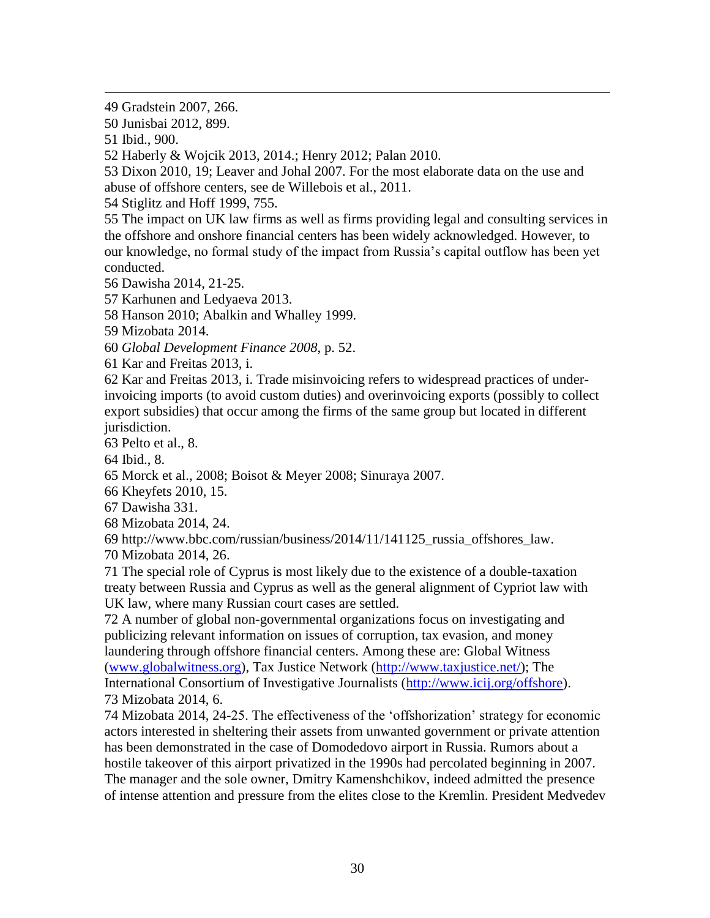49 Gradstein 2007, 266.

 $\overline{a}$ 

53 Dixon 2010, 19; Leaver and Johal 2007. For the most elaborate data on the use and abuse of offshore centers, see de Willebois et al., 2011.

54 Stiglitz and Hoff 1999, 755.

55 The impact on UK law firms as well as firms providing legal and consulting services in the offshore and onshore financial centers has been widely acknowledged. However, to our knowledge, no formal study of the impact from Russia's capital outflow has been yet conducted.

56 Dawisha 2014, 21-25.

57 Karhunen and Ledyaeva 2013.

58 Hanson 2010; Abalkin and Whalley 1999.

59 Mizobata 2014.

60 *Global Development Finance 2008*, p. 52.

61 Kar and Freitas 2013, i.

62 Kar and Freitas 2013, i. Trade misinvoicing refers to widespread practices of underinvoicing imports (to avoid custom duties) and overinvoicing exports (possibly to collect export subsidies) that occur among the firms of the same group but located in different jurisdiction.

63 Pelto et al., 8.

64 Ibid., 8.

65 Morck et al., 2008; Boisot & Meyer 2008; Sinuraya 2007.

66 Kheyfets 2010, 15.

67 Dawisha 331.

68 Mizobata 2014, 24.

69 http://www.bbc.com/russian/business/2014/11/141125\_russia\_offshores\_law.

70 Mizobata 2014, 26.

71 The special role of Cyprus is most likely due to the existence of a double-taxation treaty between Russia and Cyprus as well as the general alignment of Cypriot law with UK law, where many Russian court cases are settled.

72 A number of global non-governmental organizations focus on investigating and publicizing relevant information on issues of corruption, tax evasion, and money laundering through offshore financial centers. Among these are: Global Witness [\(www.globalwitness.org\)](http://www.globalwitness.org/), Tax Justice Network [\(http://www.taxjustice.net/\)](http://www.taxjustice.net/); The International Consortium of Investigative Journalists [\(http://www.icij.org/offshore\)](http://www.icij.org/offshore). 73 Mizobata 2014, 6.

74 Mizobata 2014, 24-25. The effectiveness of the 'offshorization' strategy for economic actors interested in sheltering their assets from unwanted government or private attention has been demonstrated in the case of Domodedovo airport in Russia. Rumors about a hostile takeover of this airport privatized in the 1990s had percolated beginning in 2007. The manager and the sole owner, Dmitry Kamenshchikov, indeed admitted the presence of intense attention and pressure from the elites close to the Kremlin. President Medvedev

<sup>50</sup> Junisbai 2012, 899.

<sup>51</sup> Ibid., 900.

<sup>52</sup> Haberly & Wojcik 2013, 2014.; Henry 2012; Palan 2010.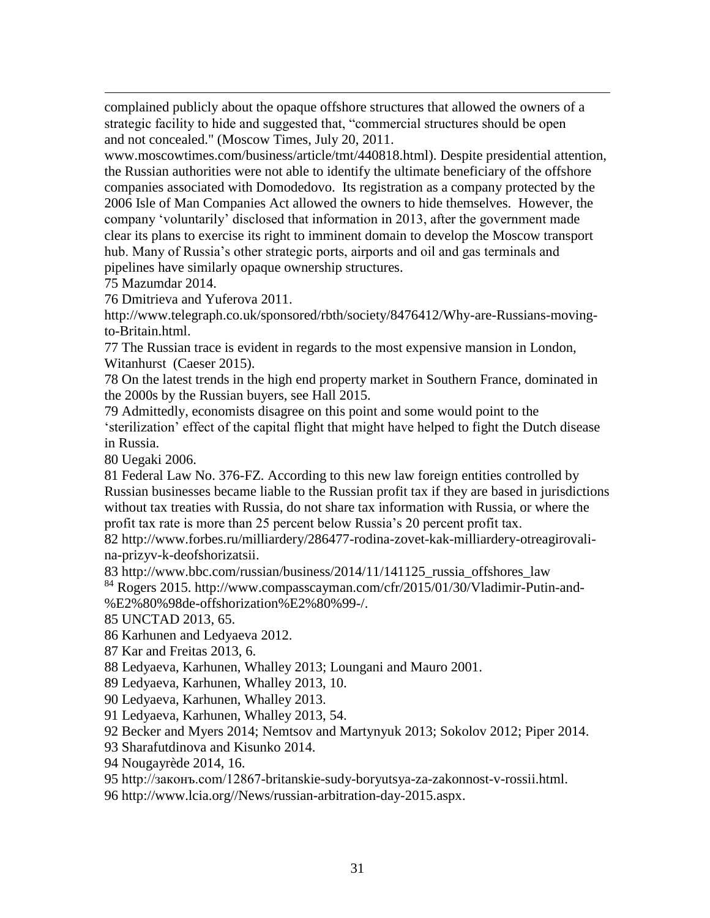complained publicly about the opaque offshore structures that allowed the owners of a strategic facility to hide and suggested that, "commercial structures should be open and not concealed." (Moscow Times, July 20, 2011.

[www.moscowtimes.com/business/article/tmt/440818.html\)](http://www.moscowtimes.com/business/article/tmt/440818.html). Despite presidential attention, the Russian authorities were not able to identify the ultimate beneficiary of the offshore companies associated with Domodedovo. Its registration as a company protected by the 2006 Isle of Man Companies Act allowed the owners to hide themselves. However, the company 'voluntarily' disclosed that information in 2013, after the government made clear its plans to exercise its right to imminent domain to develop the Moscow transport hub. Many of Russia's other strategic ports, airports and oil and gas terminals and pipelines have similarly opaque ownership structures.

75 Mazumdar 2014.

 $\overline{a}$ 

76 Dmitrieva and Yuferova 2011.

http://www.telegraph.co.uk/sponsored/rbth/society/8476412/Why-are-Russians-movingto-Britain.html.

77 The Russian trace is evident in regards to the most expensive mansion in London, Witanhurst (Caeser 2015).

78 On the latest trends in the high end property market in Southern France, dominated in the 2000s by the Russian buyers, see Hall 2015.

79 Admittedly, economists disagree on this point and some would point to the 'sterilization' effect of the capital flight that might have helped to fight the Dutch disease in Russia.

80 Uegaki 2006.

81 Federal Law No. 376-FZ. According to this new law foreign entities controlled by Russian businesses became liable to the Russian profit tax if they are based in jurisdictions without tax treaties with Russia, do not share tax information with Russia, or where the profit tax rate is more than 25 percent below Russia's 20 percent profit tax.

82 http://www.forbes.ru/milliardery/286477-rodina-zovet-kak-milliardery-otreagirovalina-prizyv-k-deofshorizatsii.

83 http://www.bbc.com/russian/business/2014/11/141125 russia offshores law

<sup>84</sup> Rogers 2015. http://www.compasscayman.com/cfr/2015/01/30/Vladimir-Putin-and- %E2%80%98de-offshorization%E2%80%99-/.

85 UNCTAD 2013, 65.

86 Karhunen and Ledyaeva 2012.

87 Kar and Freitas 2013, 6.

88 Ledyaeva, Karhunen, Whalley 2013; Loungani and Mauro 2001.

89 Ledyaeva, Karhunen, Whalley 2013, 10.

90 Ledyaeva, Karhunen, Whalley 2013.

91 Ledyaeva, Karhunen, Whalley 2013, 54.

92 Becker and Myers 2014; Nemtsov and Martynyuk 2013; Sokolov 2012; Piper 2014.

93 Sharafutdinova and Kisunko 2014.

94 Nougayrède 2014, 16.

95 http://законъ.com/12867-britanskie-sudy-boryutsya-za-zakonnost-v-rossii.html.

96 http://www.lcia.org//News/russian-arbitration-day-2015.aspx.